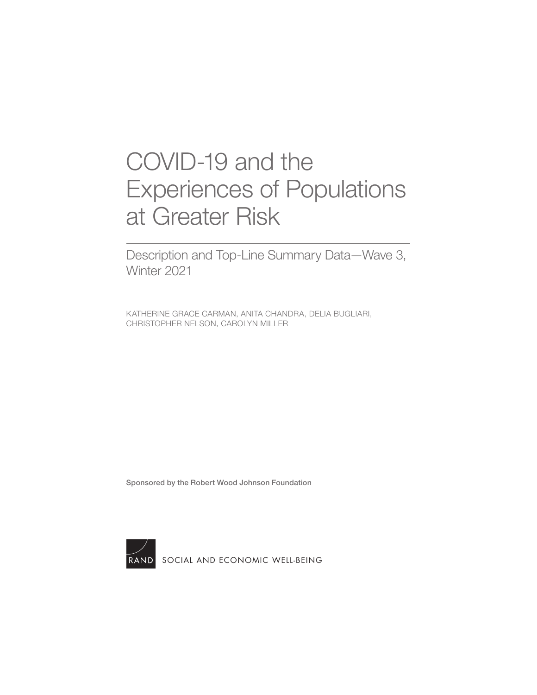# COVID-19 and the [Experiences of Populations](https://www.rand.org/pubs/research_reports/RRA764-3.html)  at Greater Risk

Description and Top-Line Summary Data—Wave 3, Winter 2021

KATHERINE GRACE CARMAN, ANITA CHANDRA, DELIA BUGLIARI, CHRISTOPHER NELSON, CAROLYN MILLER

Sponsored by the Robert Wood Johnson Foundation



RAND [SOCIAL AND ECONOMIC WELL-BEING](https://www.rand.org/well-being.html)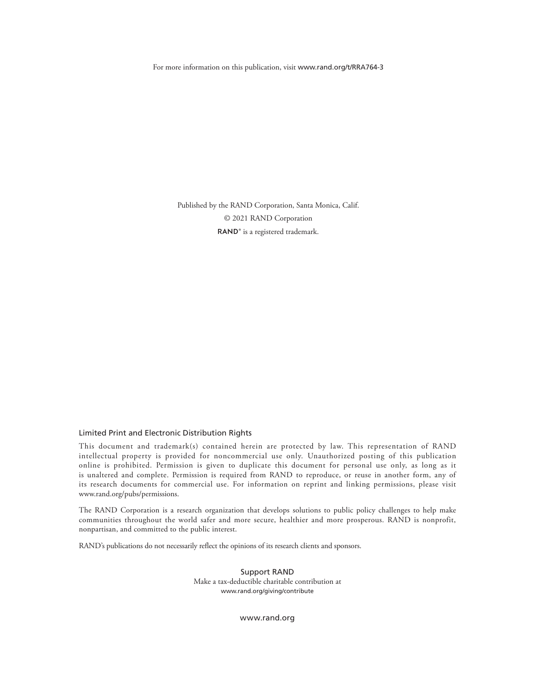For more information on this publication, visit [www.rand.org/t/RRA764-3](http://www.rand.org/t/RRA764-3)

Published by the RAND Corporation, Santa Monica, Calif. © 2021 RAND Corporation RAND<sup>®</sup> is a registered trademark.

#### Limited Print and Electronic Distribution Rights

This document and trademark(s) contained herein are protected by law. This representation of RAND intellectual property is provided for noncommercial use only. Unauthorized posting of this publication online is prohibited. Permission is given to duplicate this document for personal use only, as long as it is unaltered and complete. Permission is required from RAND to reproduce, or reuse in another form, any of its research documents for commercial use. For information on reprint and linking permissions, please visit [www.rand.org/pubs/permissions.](http://www.rand.org/pubs/permissions)

The RAND Corporation is a research organization that develops solutions to public policy challenges to help make communities throughout the world safer and more secure, healthier and more prosperous. RAND is nonprofit, nonpartisan, and committed to the public interest.

RAND's publications do not necessarily reflect the opinions of its research clients and sponsors.

Support RAND Make a tax-deductible charitable contribution at [www.rand.org/giving/contribute](http://www.rand.org/giving/contribute)

[www.rand.org](http://www.rand.org)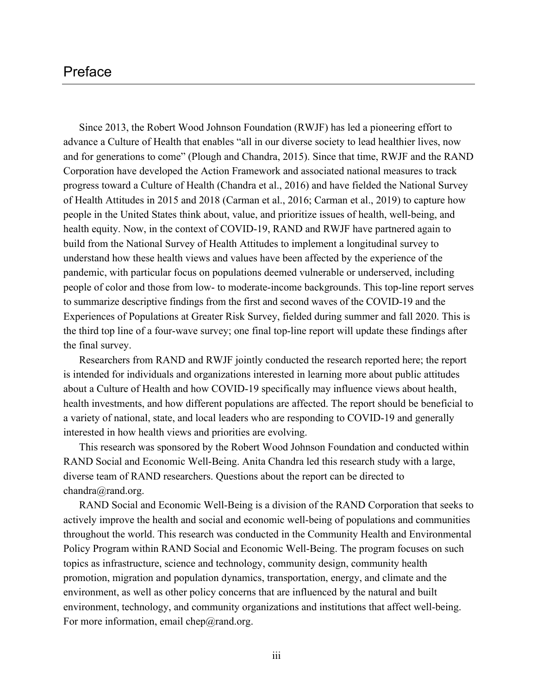# Preface

Since 2013, the Robert Wood Johnson Foundation (RWJF) has led a pioneering effort to advance a Culture of Health that enables "all in our diverse society to lead healthier lives, now and for generations to come" (Plough and Chandra, 2015). Since that time, RWJF and the RAND Corporation have developed the Action Framework and associated national measures to track progress toward a Culture of Health (Chandra et al., 2016) and have fielded the National Survey of Health Attitudes in 2015 and 2018 (Carman et al., 2016; Carman et al., 2019) to capture how people in the United States think about, value, and prioritize issues of health, well-being, and health equity. Now, in the context of COVID-19, RAND and RWJF have partnered again to build from the National Survey of Health Attitudes to implement a longitudinal survey to understand how these health views and values have been affected by the experience of the pandemic, with particular focus on populations deemed vulnerable or underserved, including people of color and those from low- to moderate-income backgrounds. This top-line report serves to summarize descriptive findings from the first and second waves of the COVID-19 and the Experiences of Populations at Greater Risk Survey, fielded during summer and fall 2020. This is the third top line of a four-wave survey; one final top-line report will update these findings after the final survey.

Researchers from RAND and RWJF jointly conducted the research reported here; the report is intended for individuals and organizations interested in learning more about public attitudes about a Culture of Health and how COVID-19 specifically may influence views about health, health investments, and how different populations are affected. The report should be beneficial to a variety of national, state, and local leaders who are responding to COVID-19 and generally interested in how health views and priorities are evolving.

This research was sponsored by the Robert Wood Johnson Foundation and conducted within RAND Social and Economic Well-Being. Anita Chandra led this research study with a large, diverse team of RAND researchers. Questions about the report can be directed to [chandra@rand.org.](mailto:chandra@rand.org)

RAND Social and Economic Well-Being is a division of the RAND Corporation that seeks to actively improve the health and social and economic well-being of populations and communities throughout the world. This research was conducted in the Community Health and Environmental Policy Program within RAND Social and Economic Well-Being. The program focuses on such topics as infrastructure, science and technology, community design, community health promotion, migration and population dynamics, transportation, energy, and climate and the environment, as well as other policy concerns that are influenced by the natural and built environment, technology, and community organizations and institutions that affect well-being. For more information, email [chep@rand.org.](mailto:chep@rand.org)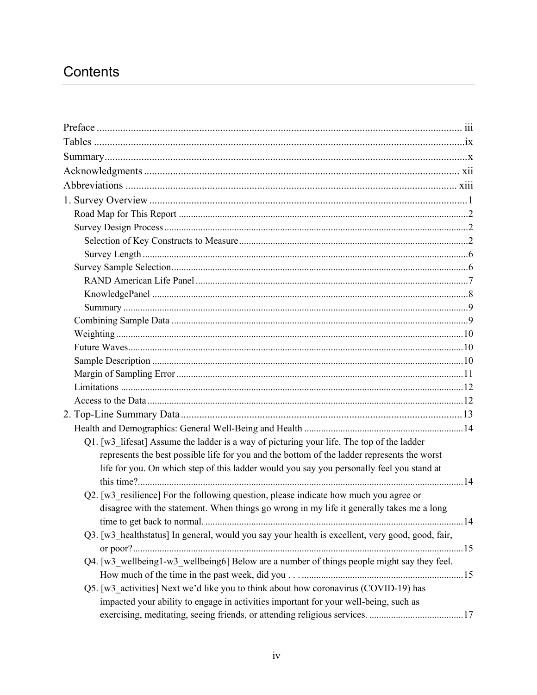# Contents

| Q1. [w3_lifesat] Assume the ladder is a way of picturing your life. The top of the ladder                                                                                    |  |
|------------------------------------------------------------------------------------------------------------------------------------------------------------------------------|--|
| represents the best possible life for you and the bottom of the ladder represents the worst                                                                                  |  |
| life for you. On which step of this ladder would you say you personally feel you stand at                                                                                    |  |
| Q2. [w3 resilience] For the following question, please indicate how much you agree or                                                                                        |  |
| disagree with the statement. When things go wrong in my life it generally takes me a long                                                                                    |  |
| Q3. [w3 healthstatus] In general, would you say your health is excellent, very good, good, fair,                                                                             |  |
| Q4. [w3 wellbeing1-w3 wellbeing6] Below are a number of things people might say they feel.                                                                                   |  |
| Q5. [w3_activities] Next we'd like you to think about how coronavirus (COVID-19) has<br>impacted your ability to engage in activities important for your well-being, such as |  |
|                                                                                                                                                                              |  |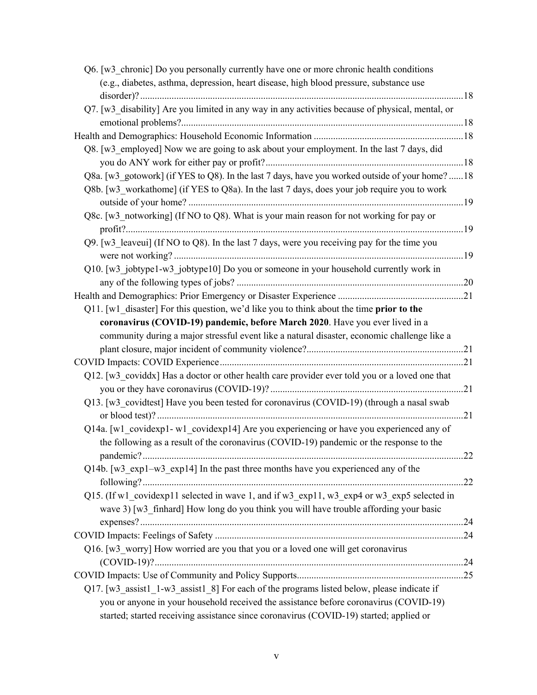| Q6. [w3 chronic] Do you personally currently have one or more chronic health conditions            |    |
|----------------------------------------------------------------------------------------------------|----|
| (e.g., diabetes, asthma, depression, heart disease, high blood pressure, substance use             |    |
|                                                                                                    |    |
| Q7. [w3 disability] Are you limited in any way in any activities because of physical, mental, or   |    |
|                                                                                                    |    |
|                                                                                                    |    |
| Q8. [w3_employed] Now we are going to ask about your employment. In the last 7 days, did           |    |
|                                                                                                    |    |
| Q8a. [w3 gotowork] (if YES to Q8). In the last 7 days, have you worked outside of your home?18     |    |
| Q8b. [w3 workathome] (if YES to Q8a). In the last 7 days, does your job require you to work        |    |
|                                                                                                    |    |
| Q8c. [w3 notworking] (If NO to Q8). What is your main reason for not working for pay or            |    |
|                                                                                                    |    |
| Q9. [w3 leaveui] (If NO to Q8). In the last 7 days, were you receiving pay for the time you        |    |
|                                                                                                    |    |
| Q10. [w3 jobtype1-w3 jobtype10] Do you or someone in your household currently work in              |    |
|                                                                                                    |    |
|                                                                                                    |    |
| $Q11$ . [w1 disaster] For this question, we'd like you to think about the time <b>prior to the</b> |    |
| coronavirus (COVID-19) pandemic, before March 2020. Have you ever lived in a                       |    |
| community during a major stressful event like a natural disaster, economic challenge like a        |    |
|                                                                                                    |    |
|                                                                                                    |    |
| Q12. [w3_coviddx] Has a doctor or other health care provider ever told you or a loved one that     |    |
|                                                                                                    |    |
| Q13. [w3 covidtest] Have you been tested for coronavirus (COVID-19) (through a nasal swab          |    |
| Q14a. [w1 covidexp1-w1 covidexp14] Are you experiencing or have you experienced any of             |    |
| the following as a result of the coronavirus (COVID-19) pandemic or the response to the            |    |
|                                                                                                    | 22 |
| Q14b. [w3 exp1-w3 exp14] In the past three months have you experienced any of the                  |    |
|                                                                                                    |    |
| Q15. (If w1 covidexp11 selected in wave 1, and if w3 exp11, w3 exp4 or w3 exp5 selected in         |    |
| wave 3) [w3 finhard] How long do you think you will have trouble affording your basic              |    |
|                                                                                                    |    |
|                                                                                                    |    |
| Q16. [w3 worry] How worried are you that you or a loved one will get coronavirus                   |    |
|                                                                                                    |    |
|                                                                                                    |    |
| Q17. [w3 assist1 1-w3 assist1 8] For each of the programs listed below, please indicate if         |    |
| you or anyone in your household received the assistance before coronavirus (COVID-19)              |    |
| started; started receiving assistance since coronavirus (COVID-19) started; applied or             |    |
|                                                                                                    |    |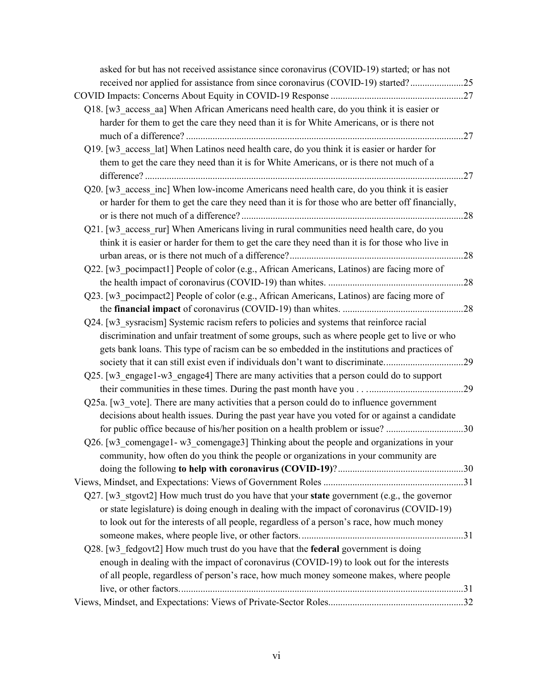| asked for but has not received assistance since coronavirus (COVID-19) started; or has not                                                                                                                                                                                      |  |
|---------------------------------------------------------------------------------------------------------------------------------------------------------------------------------------------------------------------------------------------------------------------------------|--|
| received nor applied for assistance from since coronavirus (COVID-19) started?25                                                                                                                                                                                                |  |
|                                                                                                                                                                                                                                                                                 |  |
| Q18. [w3_access_aa] When African Americans need health care, do you think it is easier or<br>harder for them to get the care they need than it is for White Americans, or is there not                                                                                          |  |
| Q19. [w3 access lat] When Latinos need health care, do you think it is easier or harder for                                                                                                                                                                                     |  |
| them to get the care they need than it is for White Americans, or is there not much of a                                                                                                                                                                                        |  |
| Q20. [w3_access_inc] When low-income Americans need health care, do you think it is easier<br>or harder for them to get the care they need than it is for those who are better off financially,                                                                                 |  |
| Q21. [w3 access rur] When Americans living in rural communities need health care, do you<br>think it is easier or harder for them to get the care they need than it is for those who live in                                                                                    |  |
| Q22. [w3 pocimpact1] People of color (e.g., African Americans, Latinos) are facing more of                                                                                                                                                                                      |  |
|                                                                                                                                                                                                                                                                                 |  |
| Q23. [w3_pocimpact2] People of color (e.g., African Americans, Latinos) are facing more of                                                                                                                                                                                      |  |
|                                                                                                                                                                                                                                                                                 |  |
| Q24. [w3 sysracism] Systemic racism refers to policies and systems that reinforce racial                                                                                                                                                                                        |  |
| discrimination and unfair treatment of some groups, such as where people get to live or who<br>gets bank loans. This type of racism can be so embedded in the institutions and practices of<br>society that it can still exist even if individuals don't want to discriminate29 |  |
| Q25. [w3 engage1-w3 engage4] There are many activities that a person could do to support                                                                                                                                                                                        |  |
|                                                                                                                                                                                                                                                                                 |  |
| Q25a. [w3 vote]. There are many activities that a person could do to influence government<br>decisions about health issues. During the past year have you voted for or against a candidate                                                                                      |  |
| for public office because of his/her position on a health problem or issue? 30                                                                                                                                                                                                  |  |
| Q26. [w3 comengage1-w3 comengage3] Thinking about the people and organizations in your                                                                                                                                                                                          |  |
| community, how often do you think the people or organizations in your community are                                                                                                                                                                                             |  |
|                                                                                                                                                                                                                                                                                 |  |
|                                                                                                                                                                                                                                                                                 |  |
| Q27. [w3_stgovt2] How much trust do you have that your state government (e.g., the governor<br>or state legislature) is doing enough in dealing with the impact of coronavirus (COVID-19)                                                                                       |  |
| to look out for the interests of all people, regardless of a person's race, how much money                                                                                                                                                                                      |  |
|                                                                                                                                                                                                                                                                                 |  |
| Q28. [w3 fedgovt2] How much trust do you have that the federal government is doing                                                                                                                                                                                              |  |
| enough in dealing with the impact of coronavirus (COVID-19) to look out for the interests                                                                                                                                                                                       |  |
| of all people, regardless of person's race, how much money someone makes, where people                                                                                                                                                                                          |  |
|                                                                                                                                                                                                                                                                                 |  |
|                                                                                                                                                                                                                                                                                 |  |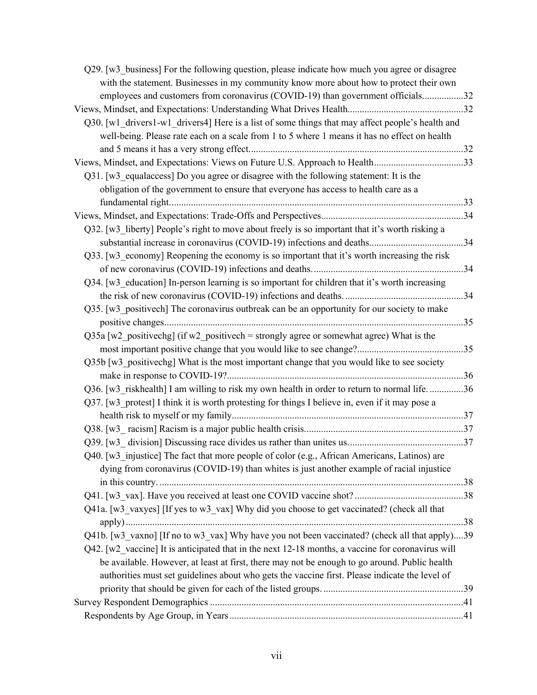| Q29. [w3 business] For the following question, please indicate how much you agree or disagree     |  |
|---------------------------------------------------------------------------------------------------|--|
| with the statement. Businesses in my community know more about how to protect their own           |  |
| employees and customers from coronavirus (COVID-19) than government officials32                   |  |
|                                                                                                   |  |
| Q30. [w1 drivers1-w1 drivers4] Here is a list of some things that may affect people's health and  |  |
| well-being. Please rate each on a scale from 1 to 5 where 1 means it has no effect on health      |  |
|                                                                                                   |  |
| Views, Mindset, and Expectations: Views on Future U.S. Approach to Health33                       |  |
| Q31. [w3 equalaccess] Do you agree or disagree with the following statement: It is the            |  |
| obligation of the government to ensure that everyone has access to health care as a               |  |
|                                                                                                   |  |
|                                                                                                   |  |
| Q32. [w3 liberty] People's right to move about freely is so important that it's worth risking a   |  |
|                                                                                                   |  |
| Q33. [w3 economy] Reopening the economy is so important that it's worth increasing the risk       |  |
|                                                                                                   |  |
| Q34. [w3 education] In-person learning is so important for children that it's worth increasing    |  |
|                                                                                                   |  |
| Q35. [w3 positive ch] The coronavirus outbreak can be an opportunity for our society to make      |  |
|                                                                                                   |  |
| Q35a [w2 positive chg] (if w2 positive ch = strongly agree or somewhat agree) What is the         |  |
|                                                                                                   |  |
| Q35b [w3 positive chg] What is the most important change that you would like to see society       |  |
|                                                                                                   |  |
| Q36. [w3 riskhealth] I am willing to risk my own health in order to return to normal life36       |  |
| Q37. [w3 protest] I think it is worth protesting for things I believe in, even if it may pose a   |  |
|                                                                                                   |  |
|                                                                                                   |  |
|                                                                                                   |  |
| Q40. [w3 injustice] The fact that more people of color (e.g., African Americans, Latinos) are     |  |
| dying from coronavirus (COVID-19) than whites is just another example of racial injustice         |  |
|                                                                                                   |  |
|                                                                                                   |  |
| Q41a. [w3_vaxyes] [If yes to w3_vax] Why did you choose to get vaccinated? (check all that        |  |
|                                                                                                   |  |
| Q41b. [w3 vaxno] [If no to w3 vax] Why have you not been vaccinated? (check all that apply)39     |  |
| Q42. [w2 vaccine] It is anticipated that in the next 12-18 months, a vaccine for coronavirus will |  |
| be available. However, at least at first, there may not be enough to go around. Public health     |  |
| authorities must set guidelines about who gets the vaccine first. Please indicate the level of    |  |
|                                                                                                   |  |
|                                                                                                   |  |
|                                                                                                   |  |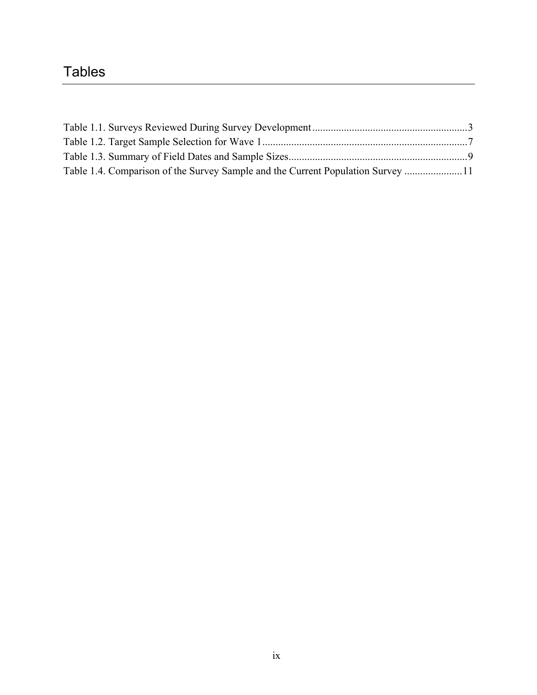# **Tables**

| Table 1.4. Comparison of the Survey Sample and the Current Population Survey  11 |  |
|----------------------------------------------------------------------------------|--|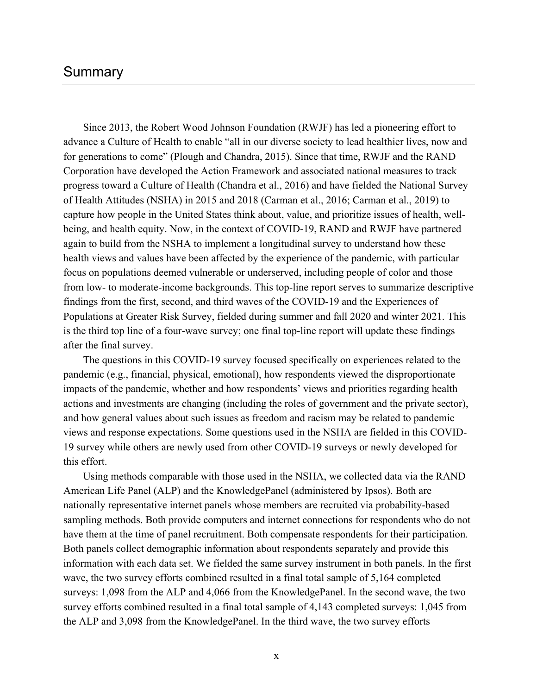# Summary

Since 2013, the Robert Wood Johnson Foundation (RWJF) has led a pioneering effort to advance a Culture of Health to enable "all in our diverse society to lead healthier lives, now and for generations to come" (Plough and Chandra, 2015). Since that time, RWJF and the RAND Corporation have developed the Action Framework and associated national measures to track progress toward a Culture of Health (Chandra et al., 2016) and have fielded the National Survey of Health Attitudes (NSHA) in 2015 and 2018 (Carman et al., 2016; Carman et al., 2019) to capture how people in the United States think about, value, and prioritize issues of health, wellbeing, and health equity. Now, in the context of COVID-19, RAND and RWJF have partnered again to build from the NSHA to implement a longitudinal survey to understand how these health views and values have been affected by the experience of the pandemic, with particular focus on populations deemed vulnerable or underserved, including people of color and those from low- to moderate-income backgrounds. This top-line report serves to summarize descriptive findings from the first, second, and third waves of the COVID-19 and the Experiences of Populations at Greater Risk Survey, fielded during summer and fall 2020 and winter 2021. This is the third top line of a four-wave survey; one final top-line report will update these findings after the final survey.

The questions in this COVID-19 survey focused specifically on experiences related to the pandemic (e.g., financial, physical, emotional), how respondents viewed the disproportionate impacts of the pandemic, whether and how respondents' views and priorities regarding health actions and investments are changing (including the roles of government and the private sector), and how general values about such issues as freedom and racism may be related to pandemic views and response expectations. Some questions used in the NSHA are fielded in this COVID-19 survey while others are newly used from other COVID-19 surveys or newly developed for this effort.

Using methods comparable with those used in the NSHA, we collected data via the RAND American Life Panel (ALP) and the KnowledgePanel (administered by Ipsos). Both are nationally representative internet panels whose members are recruited via probability-based sampling methods. Both provide computers and internet connections for respondents who do not have them at the time of panel recruitment. Both compensate respondents for their participation. Both panels collect demographic information about respondents separately and provide this information with each data set. We fielded the same survey instrument in both panels. In the first wave, the two survey efforts combined resulted in a final total sample of 5,164 completed surveys: 1,098 from the ALP and 4,066 from the KnowledgePanel. In the second wave, the two survey efforts combined resulted in a final total sample of 4,143 completed surveys: 1,045 from the ALP and 3,098 from the KnowledgePanel. In the third wave, the two survey efforts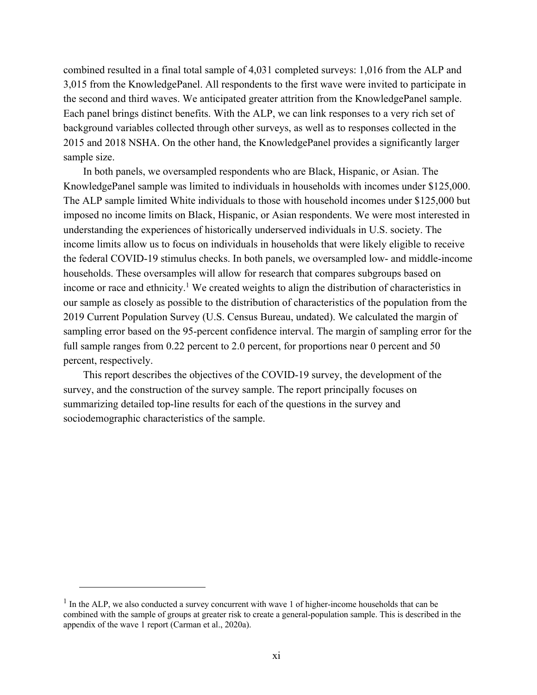combined resulted in a final total sample of 4,031 completed surveys: 1,016 from the ALP and 3,015 from the KnowledgePanel. All respondents to the first wave were invited to participate in the second and third waves. We anticipated greater attrition from the KnowledgePanel sample. Each panel brings distinct benefits. With the ALP, we can link responses to a very rich set of background variables collected through other surveys, as well as to responses collected in the 2015 and 2018 NSHA. On the other hand, the KnowledgePanel provides a significantly larger sample size.

In both panels, we oversampled respondents who are Black, Hispanic, or Asian. The KnowledgePanel sample was limited to individuals in households with incomes under \$125,000. The ALP sample limited White individuals to those with household incomes under \$125,000 but imposed no income limits on Black, Hispanic, or Asian respondents. We were most interested in understanding the experiences of historically underserved individuals in U.S. society. The income limits allow us to focus on individuals in households that were likely eligible to receive the federal COVID-19 stimulus checks. In both panels, we oversampled low- and middle-income households. These oversamples will allow for research that compares subgroups based on income or race and ethnicity.<sup>1</sup> We created weights to align the distribution of characteristics in our sample as closely as possible to the distribution of characteristics of the population from the 2019 Current Population Survey (U.S. Census Bureau, undated). We calculated the margin of sampling error based on the 95-percent confidence interval. The margin of sampling error for the full sample ranges from 0.22 percent to 2.0 percent, for proportions near 0 percent and 50 percent, respectively.

This report describes the objectives of the COVID-19 survey, the development of the survey, and the construction of the survey sample. The report principally focuses on summarizing detailed top-line results for each of the questions in the survey and sociodemographic characteristics of the sample.

 $<sup>1</sup>$  In the ALP, we also conducted a survey concurrent with wave 1 of higher-income households that can be</sup> combined with the sample of groups at greater risk to create a general-population sample. This is described in the appendix of the wave 1 report (Carman et al., 2020a).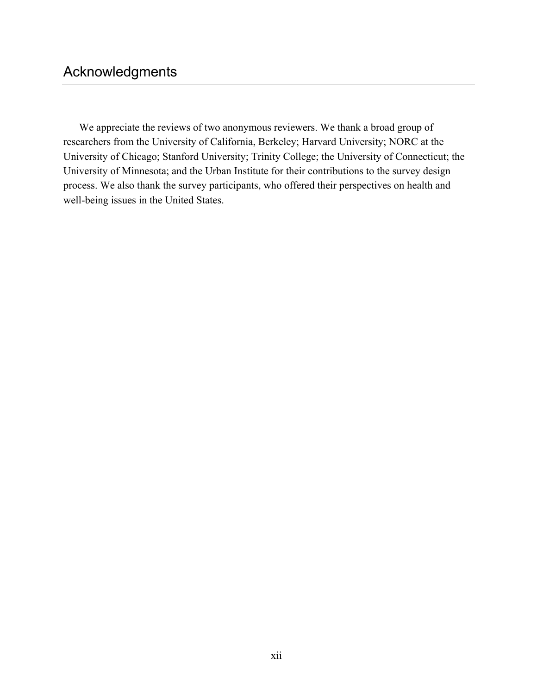We appreciate the reviews of two anonymous reviewers. We thank a broad group of researchers from the University of California, Berkeley; Harvard University; NORC at the University of Chicago; Stanford University; Trinity College; the University of Connecticut; the University of Minnesota; and the Urban Institute for their contributions to the survey design process. We also thank the survey participants, who offered their perspectives on health and well-being issues in the United States.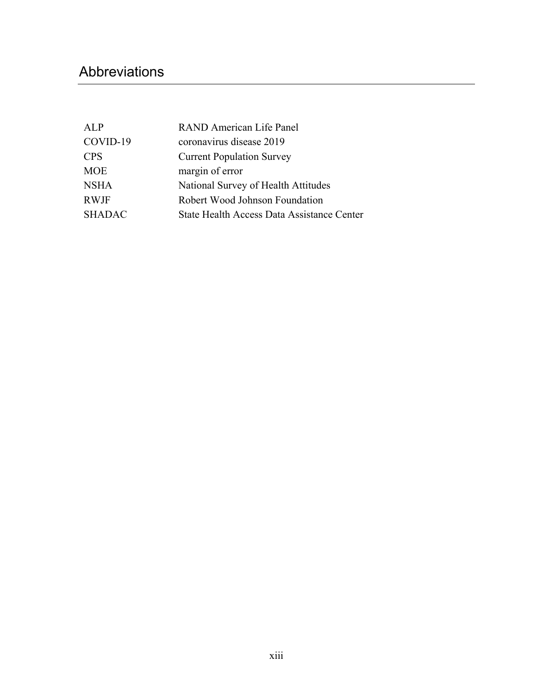# Abbreviations

| RAND American Life Panel                   |
|--------------------------------------------|
| coronavirus disease 2019                   |
| <b>Current Population Survey</b>           |
| margin of error                            |
| National Survey of Health Attitudes        |
| Robert Wood Johnson Foundation             |
| State Health Access Data Assistance Center |
|                                            |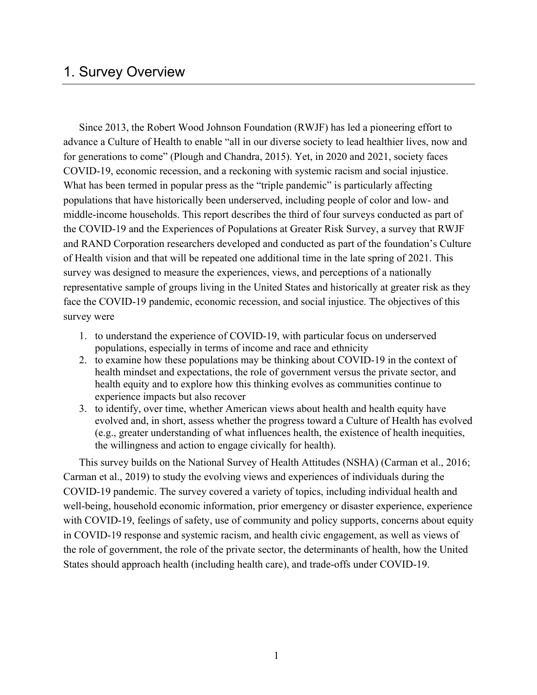# 1. Survey Overview

Since 2013, the Robert Wood Johnson Foundation (RWJF) has led a pioneering effort to advance a Culture of Health to enable "all in our diverse society to lead healthier lives, now and for generations to come" (Plough and Chandra, 2015). Yet, in 2020 and 2021, society faces COVID-19, economic recession, and a reckoning with systemic racism and social injustice. What has been termed in popular press as the "triple pandemic" is particularly affecting populations that have historically been underserved, including people of color and low- and middle-income households. This report describes the third of four surveys conducted as part of the COVID-19 and the Experiences of Populations at Greater Risk Survey, a survey that RWJF and RAND Corporation researchers developed and conducted as part of the foundation's Culture of Health vision and that will be repeated one additional time in the late spring of 2021. This survey was designed to measure the experiences, views, and perceptions of a nationally representative sample of groups living in the United States and historically at greater risk as they face the COVID-19 pandemic, economic recession, and social injustice. The objectives of this survey were

- 1. to understand the experience of COVID-19, with particular focus on underserved populations, especially in terms of income and race and ethnicity
- 2. to examine how these populations may be thinking about COVID-19 in the context of health mindset and expectations, the role of government versus the private sector, and health equity and to explore how this thinking evolves as communities continue to experience impacts but also recover
- 3. to identify, over time, whether American views about health and health equity have evolved and, in short, assess whether the progress toward a Culture of Health has evolved (e.g., greater understanding of what influences health, the existence of health inequities, the willingness and action to engage civically for health).

This survey builds on the National Survey of Health Attitudes (NSHA) (Carman et al., 2016; Carman et al., 2019) to study the evolving views and experiences of individuals during the COVID-19 pandemic. The survey covered a variety of topics, including individual health and well-being, household economic information, prior emergency or disaster experience, experience with COVID-19, feelings of safety, use of community and policy supports, concerns about equity in COVID-19 response and systemic racism, and health civic engagement, as well as views of the role of government, the role of the private sector, the determinants of health, how the United States should approach health (including health care), and trade-offs under COVID-19.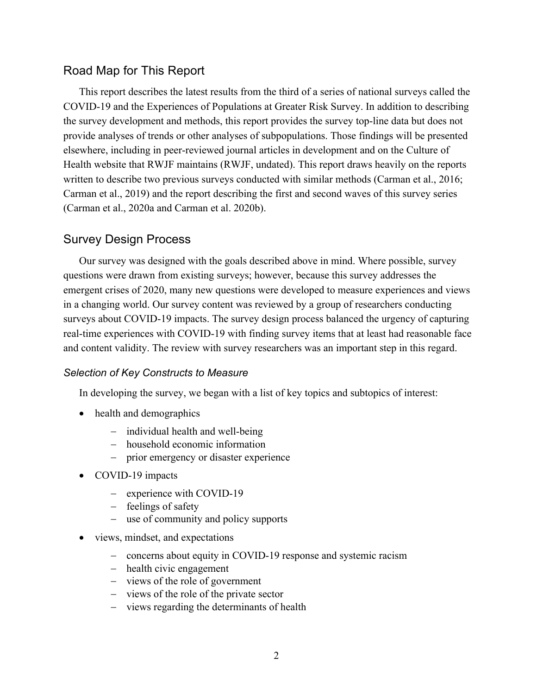# Road Map for This Report

This report describes the latest results from the third of a series of national surveys called the COVID-19 and the Experiences of Populations at Greater Risk Survey. In addition to describing the survey development and methods, this report provides the survey top-line data but does not provide analyses of trends or other analyses of subpopulations. Those findings will be presented elsewhere, including in peer-reviewed journal articles in development and on the Culture of Health website that RWJF maintains (RWJF, undated). This report draws heavily on the reports written to describe two previous surveys conducted with similar methods (Carman et al., 2016; Carman et al., 2019) and the report describing the first and second waves of this survey series (Carman et al., 2020a and Carman et al. 2020b).

# Survey Design Process

Our survey was designed with the goals described above in mind. Where possible, survey questions were drawn from existing surveys; however, because this survey addresses the emergent crises of 2020, many new questions were developed to measure experiences and views in a changing world. Our survey content was reviewed by a group of researchers conducting surveys about COVID-19 impacts. The survey design process balanced the urgency of capturing real-time experiences with COVID-19 with finding survey items that at least had reasonable face and content validity. The review with survey researchers was an important step in this regard.

### *Selection of Key Constructs to Measure*

In developing the survey, we began with a list of key topics and subtopics of interest:

- health and demographics
	- individual health and well-being
	- household economic information
	- prior emergency or disaster experience
- COVID-19 impacts
	- experience with COVID-19
	- feelings of safety
	- use of community and policy supports
- views, mindset, and expectations
	- concerns about equity in COVID-19 response and systemic racism
	- health civic engagement
	- views of the role of government
	- views of the role of the private sector
	- views regarding the determinants of health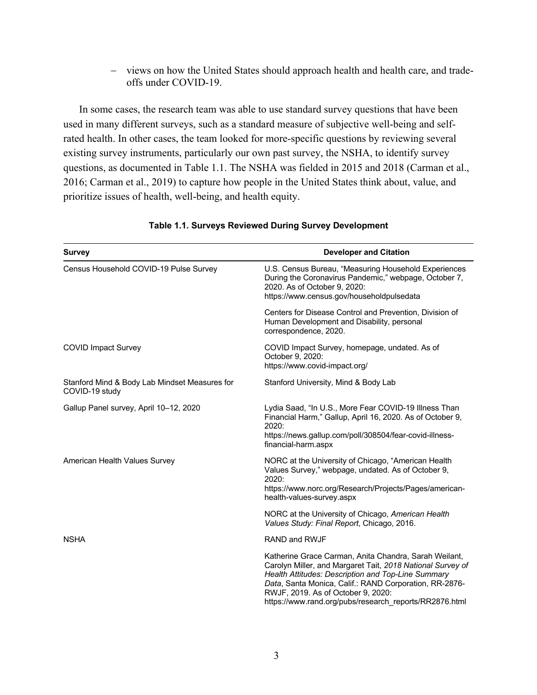- views on how the United States should approach health and health care, and tradeoffs under COVID-19.

In some cases, the research team was able to use standard survey questions that have been used in many different surveys, such as a standard measure of subjective well-being and selfrated health. In other cases, the team looked for more-specific questions by reviewing several existing survey instruments, particularly our own past survey, the NSHA, to identify survey questions, as documented in Table 1.1. The NSHA was fielded in 2015 and 2018 (Carman et al., 2016; Carman et al., 2019) to capture how people in the United States think about, value, and prioritize issues of health, well-being, and health equity.

| <b>Survey</b>                                                   | <b>Developer and Citation</b>                                                                                                                                                                                                                                                                                                       |  |  |
|-----------------------------------------------------------------|-------------------------------------------------------------------------------------------------------------------------------------------------------------------------------------------------------------------------------------------------------------------------------------------------------------------------------------|--|--|
| Census Household COVID-19 Pulse Survey                          | U.S. Census Bureau, "Measuring Household Experiences<br>During the Coronavirus Pandemic," webpage, October 7,<br>2020. As of October 9, 2020:<br>https://www.census.gov/householdpulsedata                                                                                                                                          |  |  |
|                                                                 | Centers for Disease Control and Prevention, Division of<br>Human Development and Disability, personal<br>correspondence, 2020.                                                                                                                                                                                                      |  |  |
| <b>COVID Impact Survey</b>                                      | COVID Impact Survey, homepage, undated. As of<br>October 9, 2020:<br>https://www.covid-impact.org/                                                                                                                                                                                                                                  |  |  |
| Stanford Mind & Body Lab Mindset Measures for<br>COVID-19 study | Stanford University, Mind & Body Lab                                                                                                                                                                                                                                                                                                |  |  |
| Gallup Panel survey, April 10-12, 2020                          | Lydia Saad, "In U.S., More Fear COVID-19 Illness Than<br>Financial Harm," Gallup, April 16, 2020. As of October 9,<br>2020:<br>https://news.gallup.com/poll/308504/fear-covid-illness-<br>financial-harm.aspx                                                                                                                       |  |  |
| American Health Values Survey                                   | NORC at the University of Chicago, "American Health<br>Values Survey," webpage, undated. As of October 9,<br>2020:<br>https://www.norc.org/Research/Projects/Pages/american-<br>health-values-survey.aspx                                                                                                                           |  |  |
|                                                                 | NORC at the University of Chicago, American Health<br>Values Study: Final Report, Chicago, 2016.                                                                                                                                                                                                                                    |  |  |
| <b>NSHA</b>                                                     | RAND and RWJF                                                                                                                                                                                                                                                                                                                       |  |  |
|                                                                 | Katherine Grace Carman, Anita Chandra, Sarah Weilant,<br>Carolyn Miller, and Margaret Tait, 2018 National Survey of<br>Health Attitudes: Description and Top-Line Summary<br>Data, Santa Monica, Calif.: RAND Corporation, RR-2876-<br>RWJF, 2019. As of October 9, 2020:<br>https://www.rand.org/pubs/research reports/RR2876.html |  |  |

### **Table 1.1. Surveys Reviewed During Survey Development**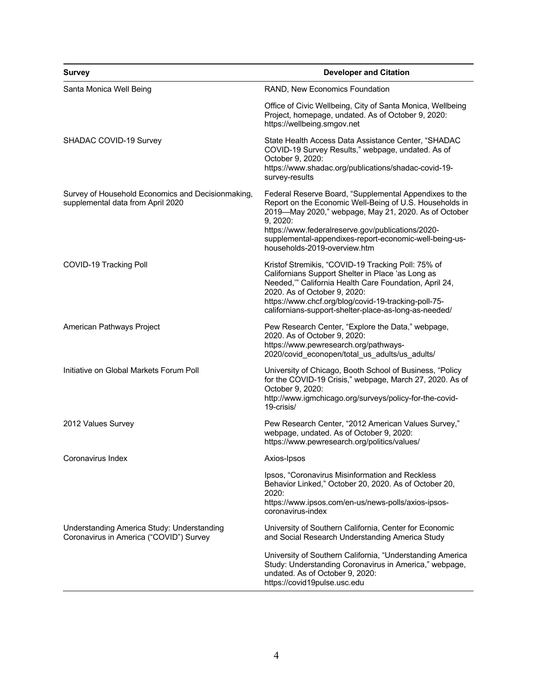| <b>Survey</b>                                                                          | <b>Developer and Citation</b>                                                                                                                                                                                                                                                                                                        |  |  |  |
|----------------------------------------------------------------------------------------|--------------------------------------------------------------------------------------------------------------------------------------------------------------------------------------------------------------------------------------------------------------------------------------------------------------------------------------|--|--|--|
| Santa Monica Well Being                                                                | RAND, New Economics Foundation                                                                                                                                                                                                                                                                                                       |  |  |  |
|                                                                                        | Office of Civic Wellbeing, City of Santa Monica, Wellbeing<br>Project, homepage, undated. As of October 9, 2020:<br>https://wellbeing.smgov.net                                                                                                                                                                                      |  |  |  |
| SHADAC COVID-19 Survey                                                                 | State Health Access Data Assistance Center, "SHADAC<br>COVID-19 Survey Results," webpage, undated. As of<br>October 9, 2020:<br>https://www.shadac.org/publications/shadac-covid-19-<br>survey-results                                                                                                                               |  |  |  |
| Survey of Household Economics and Decisionmaking,<br>supplemental data from April 2020 | Federal Reserve Board, "Supplemental Appendixes to the<br>Report on the Economic Well-Being of U.S. Households in<br>2019-May 2020," webpage, May 21, 2020. As of October<br>9, 2020:<br>https://www.federalreserve.gov/publications/2020-<br>supplemental-appendixes-report-economic-well-being-us-<br>households-2019-overview.htm |  |  |  |
| COVID-19 Tracking Poll                                                                 | Kristof Stremikis, "COVID-19 Tracking Poll: 75% of<br>Californians Support Shelter in Place 'as Long as<br>Needed,"" California Health Care Foundation, April 24,<br>2020. As of October 9, 2020:<br>https://www.chcf.org/blog/covid-19-tracking-poll-75-<br>californians-support-shelter-place-as-long-as-needed/                   |  |  |  |
| American Pathways Project                                                              | Pew Research Center, "Explore the Data," webpage,<br>2020. As of October 9, 2020:<br>https://www.pewresearch.org/pathways-<br>2020/covid_econopen/total_us_adults/us_adults/                                                                                                                                                         |  |  |  |
| Initiative on Global Markets Forum Poll                                                | University of Chicago, Booth School of Business, "Policy<br>for the COVID-19 Crisis," webpage, March 27, 2020. As of<br>October 9, 2020:<br>http://www.igmchicago.org/surveys/policy-for-the-covid-<br>19-crisis/                                                                                                                    |  |  |  |
| 2012 Values Survey                                                                     | Pew Research Center, "2012 American Values Survey,"<br>webpage, undated. As of October 9, 2020:<br>https://www.pewresearch.org/politics/values/                                                                                                                                                                                      |  |  |  |
| Coronavirus Index                                                                      | Axios-Ipsos                                                                                                                                                                                                                                                                                                                          |  |  |  |
|                                                                                        | Ipsos, "Coronavirus Misinformation and Reckless<br>Behavior Linked," October 20, 2020. As of October 20,<br>2020:<br>https://www.ipsos.com/en-us/news-polls/axios-ipsos-<br>coronavirus-index                                                                                                                                        |  |  |  |
| Understanding America Study: Understanding<br>Coronavirus in America ("COVID") Survey  | University of Southern California, Center for Economic<br>and Social Research Understanding America Study                                                                                                                                                                                                                            |  |  |  |
|                                                                                        | University of Southern California, "Understanding America<br>Study: Understanding Coronavirus in America," webpage,<br>undated. As of October 9, 2020:<br>https://covid19pulse.usc.edu                                                                                                                                               |  |  |  |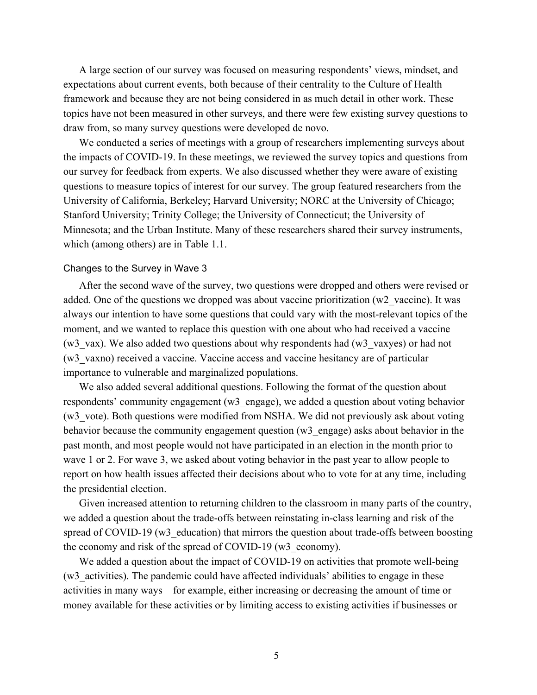A large section of our survey was focused on measuring respondents' views, mindset, and expectations about current events, both because of their centrality to the Culture of Health framework and because they are not being considered in as much detail in other work. These topics have not been measured in other surveys, and there were few existing survey questions to draw from, so many survey questions were developed de novo.

We conducted a series of meetings with a group of researchers implementing surveys about the impacts of COVID-19. In these meetings, we reviewed the survey topics and questions from our survey for feedback from experts. We also discussed whether they were aware of existing questions to measure topics of interest for our survey. The group featured researchers from the University of California, Berkeley; Harvard University; NORC at the University of Chicago; Stanford University; Trinity College; the University of Connecticut; the University of Minnesota; and the Urban Institute. Many of these researchers shared their survey instruments, which (among others) are in Table 1.1.

#### Changes to the Survey in Wave 3

After the second wave of the survey, two questions were dropped and others were revised or added. One of the questions we dropped was about vaccine prioritization (w2\_vaccine). It was always our intention to have some questions that could vary with the most-relevant topics of the moment, and we wanted to replace this question with one about who had received a vaccine (w3\_vax). We also added two questions about why respondents had (w3\_vaxyes) or had not (w3\_vaxno) received a vaccine. Vaccine access and vaccine hesitancy are of particular importance to vulnerable and marginalized populations.

We also added several additional questions. Following the format of the question about respondents' community engagement (w3\_engage), we added a question about voting behavior (w3\_vote). Both questions were modified from NSHA. We did not previously ask about voting behavior because the community engagement question (w3\_engage) asks about behavior in the past month, and most people would not have participated in an election in the month prior to wave 1 or 2. For wave 3, we asked about voting behavior in the past year to allow people to report on how health issues affected their decisions about who to vote for at any time, including the presidential election.

Given increased attention to returning children to the classroom in many parts of the country, we added a question about the trade-offs between reinstating in-class learning and risk of the spread of COVID-19 (w3 education) that mirrors the question about trade-offs between boosting the economy and risk of the spread of COVID-19 (w3 economy).

We added a question about the impact of COVID-19 on activities that promote well-being (w3\_activities). The pandemic could have affected individuals' abilities to engage in these activities in many ways—for example, either increasing or decreasing the amount of time or money available for these activities or by limiting access to existing activities if businesses or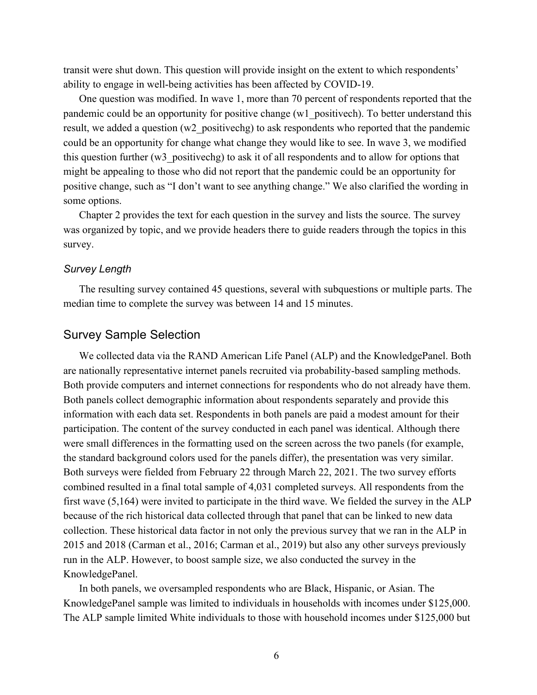transit were shut down. This question will provide insight on the extent to which respondents' ability to engage in well-being activities has been affected by COVID-19.

One question was modified. In wave 1, more than 70 percent of respondents reported that the pandemic could be an opportunity for positive change (w1\_positivech). To better understand this result, we added a question (w2 positivechg) to ask respondents who reported that the pandemic could be an opportunity for change what change they would like to see. In wave 3, we modified this question further (w3\_positivechg) to ask it of all respondents and to allow for options that might be appealing to those who did not report that the pandemic could be an opportunity for positive change, such as "I don't want to see anything change." We also clarified the wording in some options.

Chapter 2 provides the text for each question in the survey and lists the source. The survey was organized by topic, and we provide headers there to guide readers through the topics in this survey.

### *Survey Length*

The resulting survey contained 45 questions, several with subquestions or multiple parts. The median time to complete the survey was between 14 and 15 minutes.

### Survey Sample Selection

We collected data via the RAND American Life Panel (ALP) and the KnowledgePanel. Both are nationally representative internet panels recruited via probability-based sampling methods. Both provide computers and internet connections for respondents who do not already have them. Both panels collect demographic information about respondents separately and provide this information with each data set. Respondents in both panels are paid a modest amount for their participation. The content of the survey conducted in each panel was identical. Although there were small differences in the formatting used on the screen across the two panels (for example, the standard background colors used for the panels differ), the presentation was very similar. Both surveys were fielded from February 22 through March 22, 2021. The two survey efforts combined resulted in a final total sample of 4,031 completed surveys. All respondents from the first wave (5,164) were invited to participate in the third wave. We fielded the survey in the ALP because of the rich historical data collected through that panel that can be linked to new data collection. These historical data factor in not only the previous survey that we ran in the ALP in 2015 and 2018 (Carman et al., 2016; Carman et al., 2019) but also any other surveys previously run in the ALP. However, to boost sample size, we also conducted the survey in the KnowledgePanel.

In both panels, we oversampled respondents who are Black, Hispanic, or Asian. The KnowledgePanel sample was limited to individuals in households with incomes under \$125,000. The ALP sample limited White individuals to those with household incomes under \$125,000 but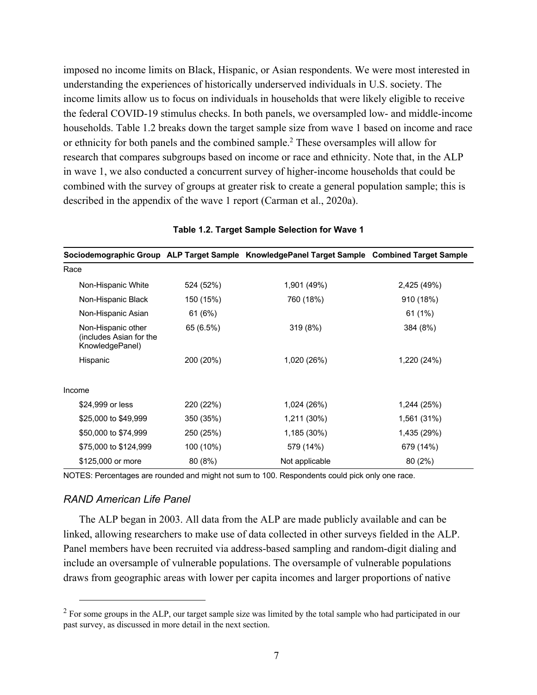imposed no income limits on Black, Hispanic, or Asian respondents. We were most interested in understanding the experiences of historically underserved individuals in U.S. society. The income limits allow us to focus on individuals in households that were likely eligible to receive the federal COVID-19 stimulus checks. In both panels, we oversampled low- and middle-income households. Table 1.2 breaks down the target sample size from wave 1 based on income and race or ethnicity for both panels and the combined sample.2 These oversamples will allow for research that compares subgroups based on income or race and ethnicity. Note that, in the ALP in wave 1, we also conducted a concurrent survey of higher-income households that could be combined with the survey of groups at greater risk to create a general population sample; this is described in the appendix of the wave 1 report (Carman et al., 2020a).

|                                                                  |           | Sociodemographic Group ALP Target Sample KnowledgePanel Target Sample | <b>Combined Target Sample</b> |
|------------------------------------------------------------------|-----------|-----------------------------------------------------------------------|-------------------------------|
| Race                                                             |           |                                                                       |                               |
| Non-Hispanic White                                               | 524 (52%) | 1,901 (49%)                                                           | 2,425 (49%)                   |
| Non-Hispanic Black                                               | 150 (15%) | 760 (18%)                                                             | 910 (18%)                     |
| Non-Hispanic Asian                                               | 61 (6%)   |                                                                       | 61 (1%)                       |
| Non-Hispanic other<br>(includes Asian for the<br>KnowledgePanel) | 65 (6.5%) | 319 (8%)                                                              | 384 (8%)                      |
| Hispanic                                                         | 200 (20%) | 1,020 (26%)                                                           | 1,220 (24%)                   |
| Income                                                           |           |                                                                       |                               |
| \$24,999 or less                                                 | 220 (22%) | 1,024 (26%)                                                           | 1,244 (25%)                   |
| \$25,000 to \$49,999                                             | 350 (35%) | 1,211 (30%)                                                           | 1,561 (31%)                   |
| \$50,000 to \$74,999                                             | 250 (25%) | 1,185 (30%)                                                           | 1,435 (29%)                   |
| \$75,000 to \$124,999                                            | 100 (10%) | 579 (14%)                                                             | 679 (14%)                     |
| \$125,000 or more                                                | 80 (8%)   | Not applicable                                                        | 80 (2%)                       |

#### **Table 1.2. Target Sample Selection for Wave 1**

NOTES: Percentages are rounded and might not sum to 100. Respondents could pick only one race.

#### *RAND American Life Panel*

The ALP began in 2003. All data from the ALP are made publicly available and can be linked, allowing researchers to make use of data collected in other surveys fielded in the ALP. Panel members have been recruited via address-based sampling and random-digit dialing and include an oversample of vulnerable populations. The oversample of vulnerable populations draws from geographic areas with lower per capita incomes and larger proportions of native

 $2$  For some groups in the ALP, our target sample size was limited by the total sample who had participated in our past survey, as discussed in more detail in the next section.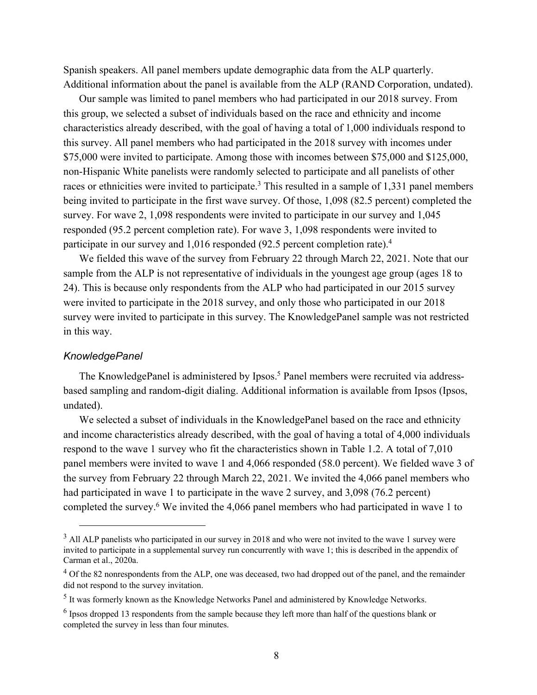Spanish speakers. All panel members update demographic data from the ALP quarterly. Additional information about the panel is available from the ALP (RAND Corporation, undated).

Our sample was limited to panel members who had participated in our 2018 survey. From this group, we selected a subset of individuals based on the race and ethnicity and income characteristics already described, with the goal of having a total of 1,000 individuals respond to this survey. All panel members who had participated in the 2018 survey with incomes under \$75,000 were invited to participate. Among those with incomes between \$75,000 and \$125,000, non-Hispanic White panelists were randomly selected to participate and all panelists of other races or ethnicities were invited to participate.<sup>3</sup> This resulted in a sample of 1,331 panel members being invited to participate in the first wave survey. Of those, 1,098 (82.5 percent) completed the survey. For wave 2, 1,098 respondents were invited to participate in our survey and 1,045 responded (95.2 percent completion rate). For wave 3, 1,098 respondents were invited to participate in our survey and 1,016 responded (92.5 percent completion rate).4

We fielded this wave of the survey from February 22 through March 22, 2021. Note that our sample from the ALP is not representative of individuals in the youngest age group (ages 18 to 24). This is because only respondents from the ALP who had participated in our 2015 survey were invited to participate in the 2018 survey, and only those who participated in our 2018 survey were invited to participate in this survey. The KnowledgePanel sample was not restricted in this way.

### *KnowledgePanel*

The KnowledgePanel is administered by Ipsos.<sup>5</sup> Panel members were recruited via addressbased sampling and random-digit dialing. Additional information is available from Ipsos (Ipsos, undated).

We selected a subset of individuals in the KnowledgePanel based on the race and ethnicity and income characteristics already described, with the goal of having a total of 4,000 individuals respond to the wave 1 survey who fit the characteristics shown in Table 1.2. A total of 7,010 panel members were invited to wave 1 and 4,066 responded (58.0 percent). We fielded wave 3 of the survey from February 22 through March 22, 2021. We invited the 4,066 panel members who had participated in wave 1 to participate in the wave 2 survey, and 3,098 (76.2 percent) completed the survey.6 We invited the 4,066 panel members who had participated in wave 1 to

<sup>&</sup>lt;sup>3</sup> All ALP panelists who participated in our survey in 2018 and who were not invited to the wave 1 survey were invited to participate in a supplemental survey run concurrently with wave 1; this is described in the appendix of Carman et al., 2020a.

<sup>&</sup>lt;sup>4</sup> Of the 82 nonrespondents from the ALP, one was deceased, two had dropped out of the panel, and the remainder did not respond to the survey invitation.

<sup>5</sup> It was formerly known as the Knowledge Networks Panel and administered by Knowledge Networks.

<sup>6</sup> Ipsos dropped 13 respondents from the sample because they left more than half of the questions blank or completed the survey in less than four minutes.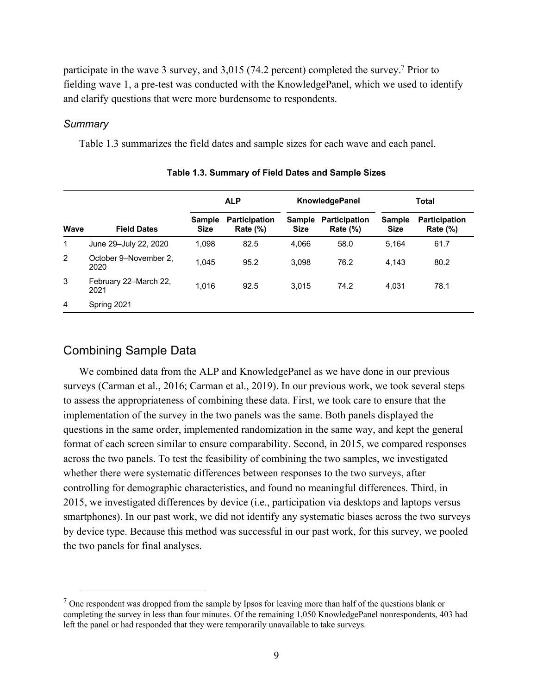participate in the wave 3 survey, and 3,015 (74.2 percent) completed the survey.7 Prior to fielding wave 1, a pre-test was conducted with the KnowledgePanel, which we used to identify and clarify questions that were more burdensome to respondents.

### *Summary*

Table 1.3 summarizes the field dates and sample sizes for each wave and each panel.

|             |                               | <b>ALP</b>                   |                                     | <b>KnowledgePanel</b>        |                                     | <b>Total</b>                 |                                     |
|-------------|-------------------------------|------------------------------|-------------------------------------|------------------------------|-------------------------------------|------------------------------|-------------------------------------|
| <b>Wave</b> | <b>Field Dates</b>            | <b>Sample</b><br><b>Size</b> | <b>Participation</b><br>Rate $(\%)$ | <b>Sample</b><br><b>Size</b> | <b>Participation</b><br>Rate $(\%)$ | <b>Sample</b><br><b>Size</b> | <b>Participation</b><br>Rate $(\%)$ |
| 1           | June 29-July 22, 2020         | 1,098                        | 82.5                                | 4,066                        | 58.0                                | 5.164                        | 61.7                                |
| 2           | October 9-November 2,<br>2020 | 1,045                        | 95.2                                | 3,098                        | 76.2                                | 4.143                        | 80.2                                |
| 3           | February 22-March 22,<br>2021 | 1.016                        | 92.5                                | 3.015                        | 74.2                                | 4.031                        | 78.1                                |
| 4           | Spring 2021                   |                              |                                     |                              |                                     |                              |                                     |

| Table 1.3. Summary of Field Dates and Sample Sizes |  |  |
|----------------------------------------------------|--|--|
|----------------------------------------------------|--|--|

### Combining Sample Data

We combined data from the ALP and KnowledgePanel as we have done in our previous surveys (Carman et al., 2016; Carman et al., 2019). In our previous work, we took several steps to assess the appropriateness of combining these data. First, we took care to ensure that the implementation of the survey in the two panels was the same. Both panels displayed the questions in the same order, implemented randomization in the same way, and kept the general format of each screen similar to ensure comparability. Second, in 2015, we compared responses across the two panels. To test the feasibility of combining the two samples, we investigated whether there were systematic differences between responses to the two surveys, after controlling for demographic characteristics, and found no meaningful differences. Third, in 2015, we investigated differences by device (i.e., participation via desktops and laptops versus smartphones). In our past work, we did not identify any systematic biases across the two surveys by device type. Because this method was successful in our past work, for this survey, we pooled the two panels for final analyses.

 $<sup>7</sup>$  One respondent was dropped from the sample by Ipsos for leaving more than half of the questions blank or</sup> completing the survey in less than four minutes. Of the remaining 1,050 KnowledgePanel nonrespondents, 403 had left the panel or had responded that they were temporarily unavailable to take surveys.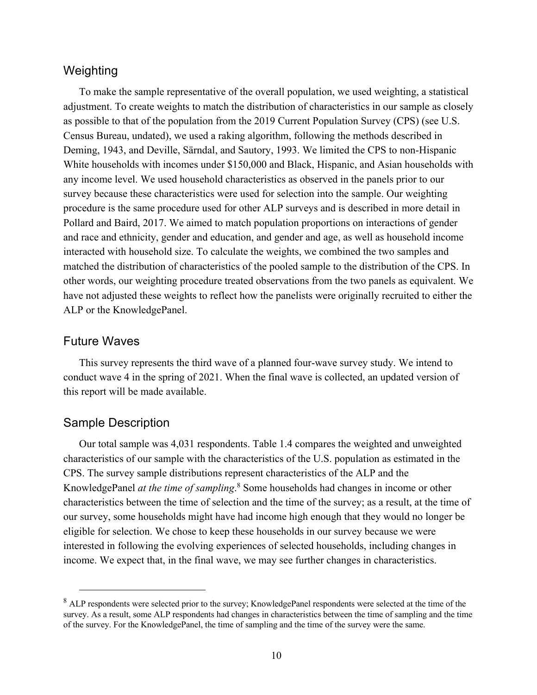### Weighting

To make the sample representative of the overall population, we used weighting, a statistical adjustment. To create weights to match the distribution of characteristics in our sample as closely as possible to that of the population from the 2019 Current Population Survey (CPS) (see U.S. Census Bureau, undated), we used a raking algorithm, following the methods described in Deming, 1943, and Deville, Särndal, and Sautory, 1993. We limited the CPS to non-Hispanic White households with incomes under \$150,000 and Black, Hispanic, and Asian households with any income level. We used household characteristics as observed in the panels prior to our survey because these characteristics were used for selection into the sample. Our weighting procedure is the same procedure used for other ALP surveys and is described in more detail in Pollard and Baird, 2017. We aimed to match population proportions on interactions of gender and race and ethnicity, gender and education, and gender and age, as well as household income interacted with household size. To calculate the weights, we combined the two samples and matched the distribution of characteristics of the pooled sample to the distribution of the CPS. In other words, our weighting procedure treated observations from the two panels as equivalent. We have not adjusted these weights to reflect how the panelists were originally recruited to either the ALP or the KnowledgePanel.

### Future Waves

This survey represents the third wave of a planned four-wave survey study. We intend to conduct wave 4 in the spring of 2021. When the final wave is collected, an updated version of this report will be made available.

# Sample Description

Our total sample was 4,031 respondents. Table 1.4 compares the weighted and unweighted characteristics of our sample with the characteristics of the U.S. population as estimated in the CPS. The survey sample distributions represent characteristics of the ALP and the KnowledgePanel *at the time of sampling*. 8 Some households had changes in income or other characteristics between the time of selection and the time of the survey; as a result, at the time of our survey, some households might have had income high enough that they would no longer be eligible for selection. We chose to keep these households in our survey because we were interested in following the evolving experiences of selected households, including changes in income. We expect that, in the final wave, we may see further changes in characteristics.

<sup>&</sup>lt;sup>8</sup> ALP respondents were selected prior to the survey; KnowledgePanel respondents were selected at the time of the survey. As a result, some ALP respondents had changes in characteristics between the time of sampling and the time of the survey. For the KnowledgePanel, the time of sampling and the time of the survey were the same.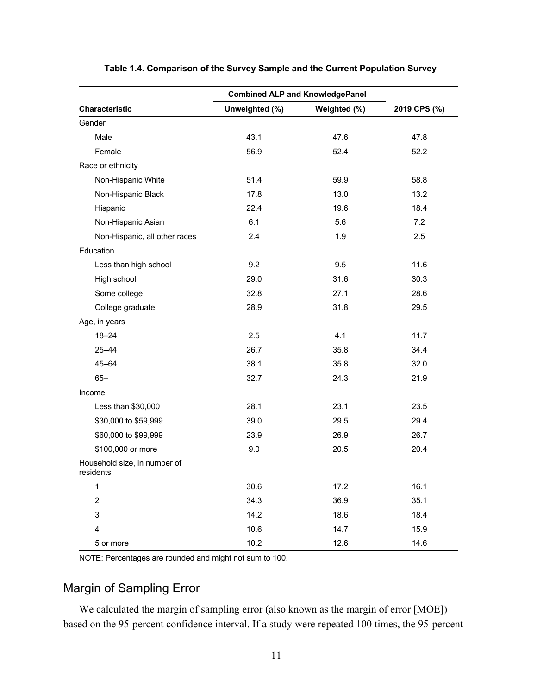|                                           | <b>Combined ALP and KnowledgePanel</b> |              |              |
|-------------------------------------------|----------------------------------------|--------------|--------------|
| Characteristic                            | Unweighted (%)                         | Weighted (%) | 2019 CPS (%) |
| Gender                                    |                                        |              |              |
| Male                                      | 43.1                                   | 47.6         | 47.8         |
| Female                                    | 56.9                                   | 52.4         | 52.2         |
| Race or ethnicity                         |                                        |              |              |
| Non-Hispanic White                        | 51.4                                   | 59.9         | 58.8         |
| Non-Hispanic Black                        | 17.8                                   | 13.0         | 13.2         |
| Hispanic                                  | 22.4                                   | 19.6         | 18.4         |
| Non-Hispanic Asian                        | 6.1                                    | 5.6          | 7.2          |
| Non-Hispanic, all other races             | 2.4                                    | 1.9          | 2.5          |
| Education                                 |                                        |              |              |
| Less than high school                     | 9.2                                    | 9.5          | 11.6         |
| High school                               | 29.0                                   | 31.6         | 30.3         |
| Some college                              | 32.8                                   | 27.1         | 28.6         |
| College graduate                          | 28.9                                   | 31.8         | 29.5         |
| Age, in years                             |                                        |              |              |
| $18 - 24$                                 | 2.5                                    | 4.1          | 11.7         |
| $25 - 44$                                 | 26.7                                   | 35.8         | 34.4         |
| $45 - 64$                                 | 38.1                                   | 35.8         | 32.0         |
| $65+$                                     | 32.7                                   | 24.3         | 21.9         |
| Income                                    |                                        |              |              |
| Less than \$30,000                        | 28.1                                   | 23.1         | 23.5         |
| \$30,000 to \$59,999                      | 39.0                                   | 29.5         | 29.4         |
| \$60,000 to \$99,999                      | 23.9                                   | 26.9         | 26.7         |
| \$100,000 or more                         | 9.0                                    | 20.5         | 20.4         |
| Household size, in number of<br>residents |                                        |              |              |
| 1                                         | 30.6                                   | 17.2         | 16.1         |
| $\overline{c}$                            | 34.3                                   | 36.9         | 35.1         |
| $\ensuremath{\mathsf{3}}$                 | 14.2                                   | 18.6         | 18.4         |
| $\overline{\mathbf{4}}$                   | 10.6                                   | 14.7         | 15.9         |
| 5 or more                                 | 10.2                                   | 12.6         | 14.6         |

**Table 1.4. Comparison of the Survey Sample and the Current Population Survey**

NOTE: Percentages are rounded and might not sum to 100.

# Margin of Sampling Error

We calculated the margin of sampling error (also known as the margin of error [MOE]) based on the 95-percent confidence interval. If a study were repeated 100 times, the 95-percent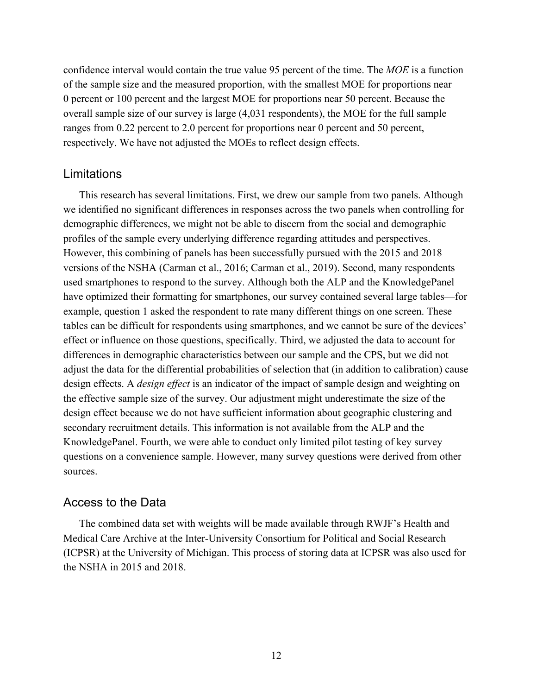confidence interval would contain the true value 95 percent of the time. The *MOE* is a function of the sample size and the measured proportion, with the smallest MOE for proportions near 0 percent or 100 percent and the largest MOE for proportions near 50 percent. Because the overall sample size of our survey is large (4,031 respondents), the MOE for the full sample ranges from 0.22 percent to 2.0 percent for proportions near 0 percent and 50 percent, respectively. We have not adjusted the MOEs to reflect design effects.

### Limitations

This research has several limitations. First, we drew our sample from two panels. Although we identified no significant differences in responses across the two panels when controlling for demographic differences, we might not be able to discern from the social and demographic profiles of the sample every underlying difference regarding attitudes and perspectives. However, this combining of panels has been successfully pursued with the 2015 and 2018 versions of the NSHA (Carman et al., 2016; Carman et al., 2019). Second, many respondents used smartphones to respond to the survey. Although both the ALP and the KnowledgePanel have optimized their formatting for smartphones, our survey contained several large tables—for example, question 1 asked the respondent to rate many different things on one screen. These tables can be difficult for respondents using smartphones, and we cannot be sure of the devices' effect or influence on those questions, specifically. Third, we adjusted the data to account for differences in demographic characteristics between our sample and the CPS, but we did not adjust the data for the differential probabilities of selection that (in addition to calibration) cause design effects. A *design effect* is an indicator of the impact of sample design and weighting on the effective sample size of the survey. Our adjustment might underestimate the size of the design effect because we do not have sufficient information about geographic clustering and secondary recruitment details. This information is not available from the ALP and the KnowledgePanel. Fourth, we were able to conduct only limited pilot testing of key survey questions on a convenience sample. However, many survey questions were derived from other sources.

# Access to the Data

The combined data set with weights will be made available through RWJF's Health and Medical Care Archive at the Inter-University Consortium for Political and Social Research (ICPSR) at the University of Michigan. This process of storing data at ICPSR was also used for the NSHA in 2015 and 2018.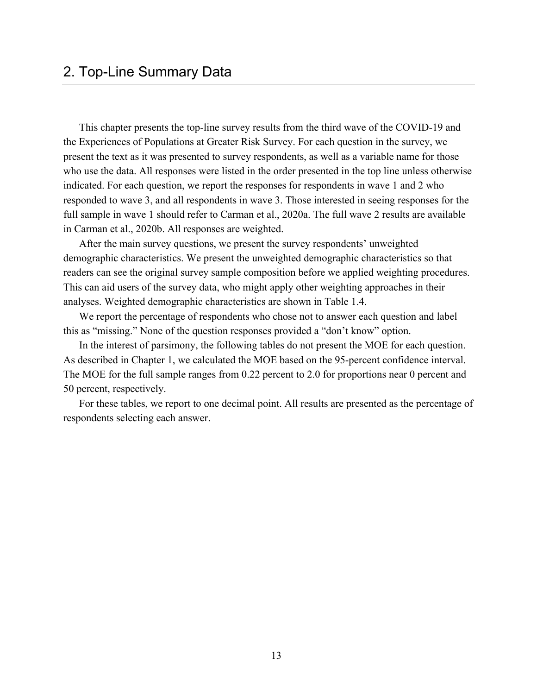This chapter presents the top-line survey results from the third wave of the COVID-19 and the Experiences of Populations at Greater Risk Survey. For each question in the survey, we present the text as it was presented to survey respondents, as well as a variable name for those who use the data. All responses were listed in the order presented in the top line unless otherwise indicated. For each question, we report the responses for respondents in wave 1 and 2 who responded to wave 3, and all respondents in wave 3. Those interested in seeing responses for the full sample in wave 1 should refer to Carman et al., 2020a. The full wave 2 results are available in Carman et al., 2020b. All responses are weighted.

After the main survey questions, we present the survey respondents' unweighted demographic characteristics. We present the unweighted demographic characteristics so that readers can see the original survey sample composition before we applied weighting procedures. This can aid users of the survey data, who might apply other weighting approaches in their analyses. Weighted demographic characteristics are shown in Table 1.4.

We report the percentage of respondents who chose not to answer each question and label this as "missing." None of the question responses provided a "don't know" option.

In the interest of parsimony, the following tables do not present the MOE for each question. As described in Chapter 1, we calculated the MOE based on the 95-percent confidence interval. The MOE for the full sample ranges from 0.22 percent to 2.0 for proportions near 0 percent and 50 percent, respectively.

For these tables, we report to one decimal point. All results are presented as the percentage of respondents selecting each answer.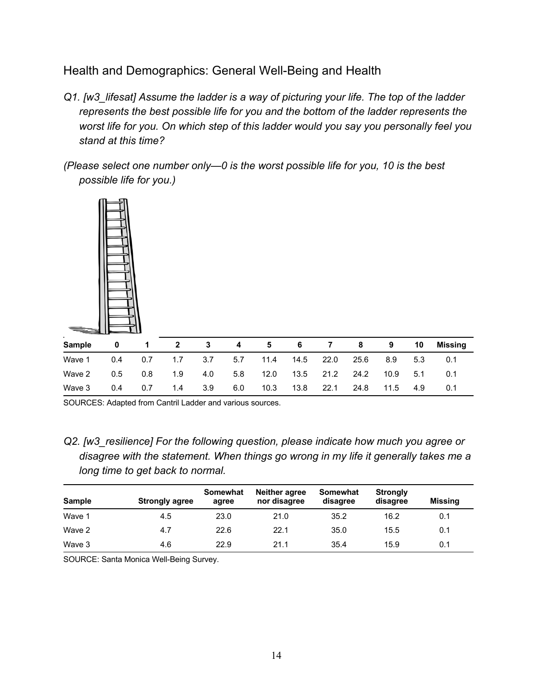Health and Demographics: General Well-Being and Health

- *Q1. [w3\_lifesat] Assume the ladder is a way of picturing your life. The top of the ladder represents the best possible life for you and the bottom of the ladder represents the worst life for you. On which step of this ladder would you say you personally feel you stand at this time?*
- *(Please select one number only—0 is the worst possible life for you, 10 is the best possible life for you.)*



| $\mathbf{r}$<br>Sample | 0   |     |                  | 3     | -4  | 5.   | 6    |      | 8    | 9    | 10  | Missing |
|------------------------|-----|-----|------------------|-------|-----|------|------|------|------|------|-----|---------|
| Wave 1                 | 0.4 | 0.7 | 1.7 <sub>z</sub> | 3.7   | 5.7 | 11.4 | 14.5 | 22.0 | 25.6 | 8.9  | 5.3 | 0.1     |
| Wave 2                 | 0.5 | 0.8 | 1.9              | 4.0   | 5.8 | 12.0 | 13.5 | 21.2 | 24.2 | 10.9 | 5.1 | 0.1     |
| Wave 3                 | 0.4 | 0.7 | 1.4              | - 3.9 | 6.0 | 10.3 | 13.8 | 22.1 | 24.8 | 11.5 | 4.9 | 0.1     |

SOURCES: Adapted from Cantril Ladder and various sources.

*Q2. [w3\_resilience] For the following question, please indicate how much you agree or disagree with the statement. When things go wrong in my life it generally takes me a long time to get back to normal.* 

| <b>Sample</b> | <b>Strongly agree</b> | Somewhat<br>agree | Neither agree<br>nor disagree | Somewhat<br>disagree | <b>Strongly</b><br>disagree | Missing |
|---------------|-----------------------|-------------------|-------------------------------|----------------------|-----------------------------|---------|
| Wave 1        | 4.5                   | 23.0              | 21.0                          | 35.2                 | 16.2                        | 0.1     |
| Wave 2        | 4.7                   | 22.6              | 22.1                          | 35.0                 | 15.5                        | 0.1     |
| Wave 3        | 4.6                   | 22.9              | 21.1                          | 35.4                 | 15.9                        | 0.1     |

SOURCE: Santa Monica Well-Being Survey.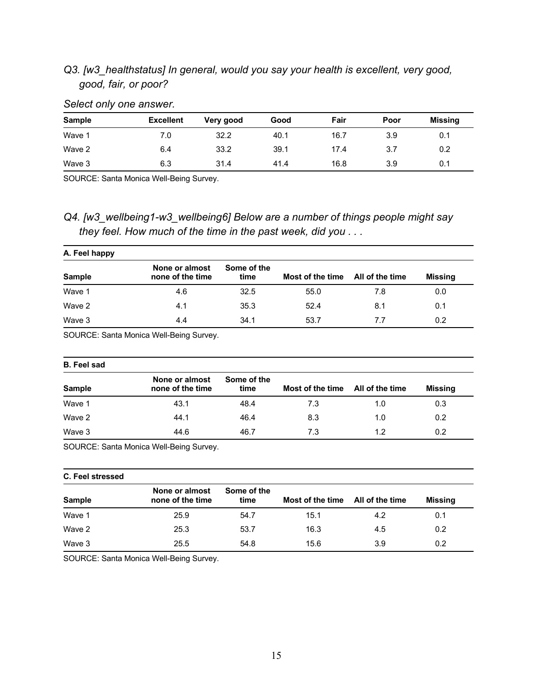# *Q3. [w3\_healthstatus] In general, would you say your health is excellent, very good, good, fair, or poor?*

| <b>Sample</b> | <b>Excellent</b> | Very good | Good | Fair | Poor | Missing |
|---------------|------------------|-----------|------|------|------|---------|
| Wave 1        | 7.0              | 32.2      | 40.1 | 16.7 | 3.9  | 0.1     |
| Wave 2        | 6.4              | 33.2      | 39.1 | 17.4 | 3.7  | 0.2     |
| Wave 3        | 6.3              | 31.4      | 41.4 | 16.8 | 3.9  | 0.1     |

### *Select only one answer.*

SOURCE: Santa Monica Well-Being Survey.

# *Q4. [w3\_wellbeing1-w3\_wellbeing6] Below are a number of things people might say they feel. How much of the time in the past week, did you . . .*

| A. Feel happy |                                    |                     |                  |                 |                |  |
|---------------|------------------------------------|---------------------|------------------|-----------------|----------------|--|
| <b>Sample</b> | None or almost<br>none of the time | Some of the<br>time | Most of the time | All of the time | <b>Missing</b> |  |
| Wave 1        | 4.6                                | 32.5                | 55.0             | 7.8             | 0.0            |  |
| Wave 2        | 4.1                                | 35.3                | 52.4             | 8.1             | 0.1            |  |
| Wave 3        | 4.4                                | 34.1                | 53.7             | 7.7             | 0.2            |  |

SOURCE: Santa Monica Well-Being Survey.

#### **B. Feel sad**

| <b>Sample</b> | None or almost<br>none of the time | Some of the<br>time | Most of the time | All of the time | <b>Missing</b> |
|---------------|------------------------------------|---------------------|------------------|-----------------|----------------|
| Wave 1        | 43.1                               | 48.4                | 7.3              | 1.0             | 0.3            |
| Wave 2        | 44.1                               | 46.4                | 8.3              | 1.0             | 0.2            |
| Wave 3        | 44.6                               | 46.7                | 7.3              | 1.2             | 0.2            |

SOURCE: Santa Monica Well-Being Survey.

#### **C. Feel stressed Sample None or almost none of the time Some of the time Most of the time All of the time Missing** Wave 1 25.9 54.7 15.1 4.2 0.1 Wave 2 25.3 53.7 16.3 4.5 0.2 Wave 3 25.5 54.8 15.6 3.9 0.2

SOURCE: Santa Monica Well-Being Survey.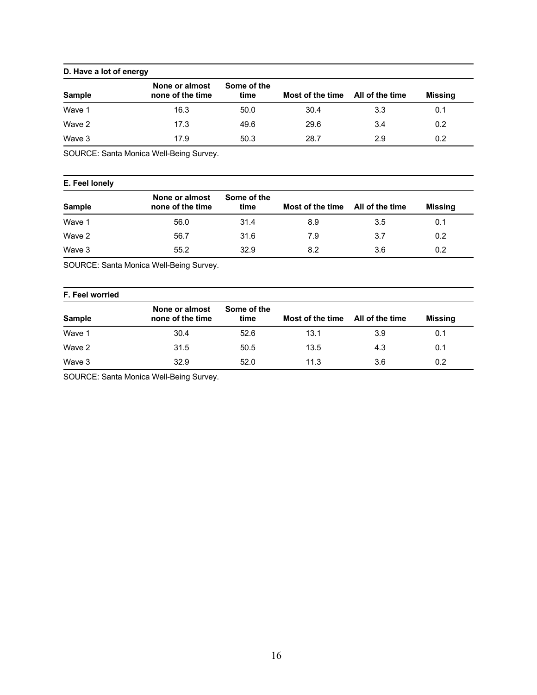### **D. Have a lot of energy**

| <b>Sample</b> | None or almost<br>none of the time | Some of the<br>time | Most of the time All of the time |     | <b>Missing</b> |
|---------------|------------------------------------|---------------------|----------------------------------|-----|----------------|
| Wave 1        | 16.3                               | 50.0                | 30.4                             | 3.3 | 0.1            |
| Wave 2        | 17.3                               | 49.6                | 29.6                             | 3.4 | 0.2            |
| Wave 3        | 17.9                               | 50.3                | 28.7                             | 2.9 | 0.2            |

SOURCE: Santa Monica Well-Being Survey.

### **E. Feel lonely**

| <b>Sample</b> | None or almost<br>none of the time | Some of the<br>time | Most of the time All of the time |     | Missing |
|---------------|------------------------------------|---------------------|----------------------------------|-----|---------|
| Wave 1        | 56.0                               | 31.4                | 8.9                              | 3.5 | 0.1     |
| Wave 2        | 56.7                               | 31.6                | 7.9                              | 3.7 | 0.2     |
| Wave 3        | 55.2                               | 32.9                | 8.2                              | 3.6 | 0.2     |

SOURCE: Santa Monica Well-Being Survey.

### **F. Feel worried**

| <b>Sample</b> | None or almost<br>none of the time | Some of the<br>time | Most of the time | All of the time | Missing |
|---------------|------------------------------------|---------------------|------------------|-----------------|---------|
| Wave 1        | 30.4                               | 52.6                | 13.1             | 3.9             | 0.1     |
| Wave 2        | 31.5                               | 50.5                | 13.5             | 4.3             | 0.1     |
| Wave 3        | 32.9                               | 52.0                | 11.3             | 3.6             | 0.2     |

SOURCE: Santa Monica Well-Being Survey.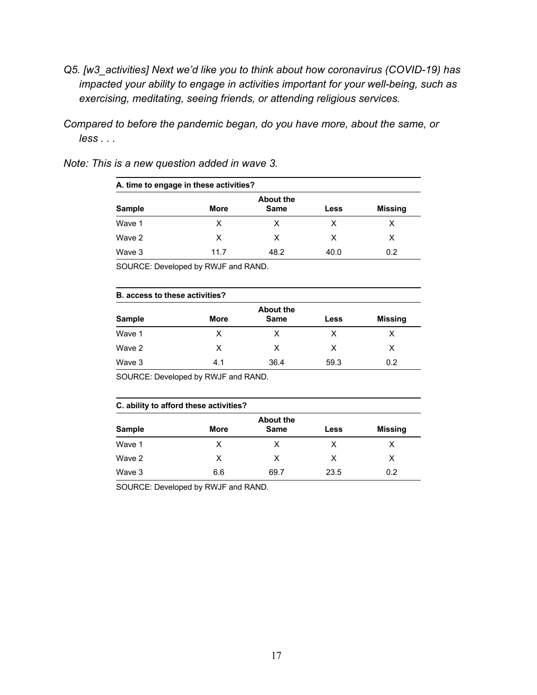- *Q5. [w3\_activities] Next we'd like you to think about how coronavirus (COVID-19) has impacted your ability to engage in activities important for your well-being, such as exercising, meditating, seeing friends, or attending religious services.*
- *Compared to before the pandemic began, do you have more, about the same, or less . . .*

| A. time to engage in these activities? |             |                                 |      |                |  |  |
|----------------------------------------|-------------|---------------------------------|------|----------------|--|--|
| <b>Sample</b>                          | <b>More</b> | <b>About the</b><br><b>Same</b> | Less | <b>Missing</b> |  |  |
| Wave 1                                 | x           | х                               | х    | X              |  |  |
| Wave 2                                 | X           | х                               | X    | х              |  |  |
| Wave 3                                 | 11.7        | 48.2                            | 40.0 | 0.2            |  |  |

*Note: This is a new question added in wave 3.*

SOURCE: Developed by RWJF and RAND.

|               | <b>B.</b> access to these activities? |                                 |      |                |  |  |
|---------------|---------------------------------------|---------------------------------|------|----------------|--|--|
| <b>Sample</b> | More                                  | <b>About the</b><br><b>Same</b> | Less | <b>Missing</b> |  |  |
| Wave 1        | X                                     | x                               | x    | х              |  |  |
| Wave 2        | X                                     | х                               | X    | х              |  |  |
| Wave 3        | 4.1                                   | 36.4                            | 59.3 | 0.2            |  |  |

SOURCE: Developed by RWJF and RAND.

### **C. ability to afford these activities?**

|               |      | <b>About the</b> |             |                |
|---------------|------|------------------|-------------|----------------|
| <b>Sample</b> | More | <b>Same</b>      | <b>Less</b> | <b>Missing</b> |
| Wave 1        |      |                  |             |                |
| Wave 2        | X    | X                | X           | x              |
| Wave 3        | 6.6  | 69.7             | 23.5        | 0.2            |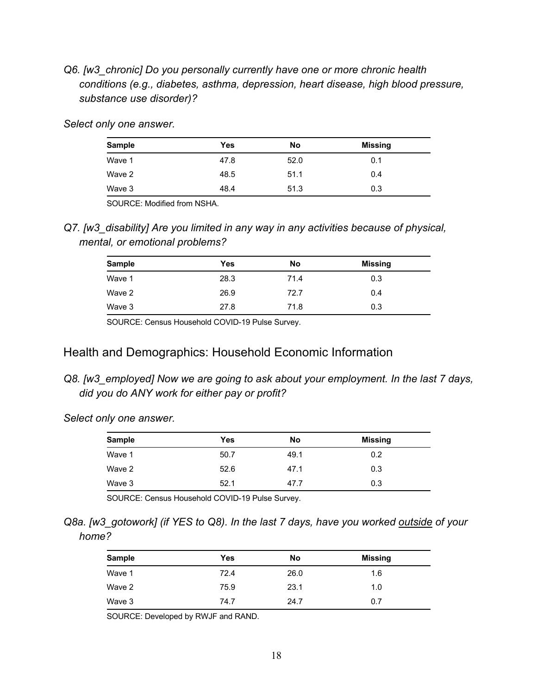*Q6. [w3\_chronic] Do you personally currently have one or more chronic health conditions (e.g., diabetes, asthma, depression, heart disease, high blood pressure, substance use disorder)?* 

*Select only one answer.* 

| <b>Sample</b> | Yes  | No   | <b>Missing</b> |
|---------------|------|------|----------------|
| Wave 1        | 47.8 | 52.0 | 0.1            |
| Wave 2        | 48.5 | 51.1 | 0.4            |
| Wave 3        | 48.4 | 51.3 | 0.3            |

SOURCE: Modified from NSHA.

*Q7. [w3\_disability] Are you limited in any way in any activities because of physical, mental, or emotional problems?* 

| <b>Sample</b> | Yes  | No   | <b>Missing</b> |
|---------------|------|------|----------------|
| Wave 1        | 28.3 | 71.4 | 0.3            |
| Wave 2        | 26.9 | 72.7 | 0.4            |
| Wave 3        | 27.8 | 71.8 | 0.3            |

SOURCE: Census Household COVID-19 Pulse Survey.

# Health and Demographics: Household Economic Information

*Q8. [w3\_employed] Now we are going to ask about your employment. In the last 7 days, did you do ANY work for either pay or profit?* 

*Select only one answer.* 

| <b>Sample</b> | Yes  | No   | Missing |
|---------------|------|------|---------|
| Wave 1        | 50.7 | 49.1 | 0.2     |
| Wave 2        | 52.6 | 47.1 | 0.3     |
| Wave 3        | 52.1 | 47.7 | 0.3     |

SOURCE: Census Household COVID-19 Pulse Survey.

*Q8a. [w3\_gotowork] (if YES to Q8). In the last 7 days, have you worked outside of your home?* 

| Sample | Yes  | No   | Missing |
|--------|------|------|---------|
| Wave 1 | 72.4 | 26.0 | 1.6     |
| Wave 2 | 75.9 | 23.1 | 1.0     |
| Wave 3 | 74.7 | 24.7 | 0.7     |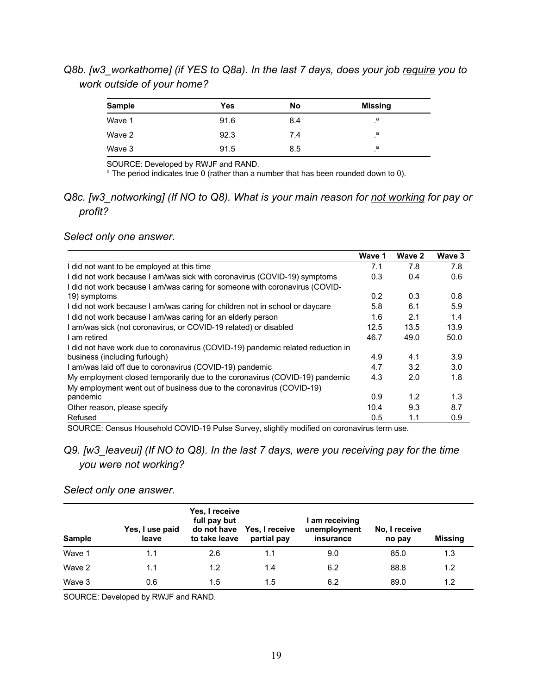# *Q8b. [w3\_workathome] (if YES to Q8a). In the last 7 days, does your job require you to work outside of your home?*

| <b>Sample</b> | Yes  | No  | <b>Missing</b> |
|---------------|------|-----|----------------|
| Wave 1        | 91.6 | 8.4 | а              |
| Wave 2        | 92.3 | 7.4 | a              |
| Wave 3        | 91.5 | 8.5 | a              |

SOURCE: Developed by RWJF and RAND.

<sup>a</sup> The period indicates true 0 (rather than a number that has been rounded down to 0).

# *Q8c. [w3\_notworking] (If NO to Q8). What is your main reason for not working for pay or profit?*

*Select only one answer.* 

|                                                                                 | Wave 1 | Wave 2 | Wave 3 |
|---------------------------------------------------------------------------------|--------|--------|--------|
| I did not want to be employed at this time                                      | 7.1    | 7.8    | 7.8    |
| I did not work because I am/was sick with coronavirus (COVID-19) symptoms       | 0.3    | 0.4    | 0.6    |
| I did not work because I am/was caring for someone with coronavirus (COVID-     |        |        |        |
| 19) symptoms                                                                    | 0.2    | 0.3    | 0.8    |
| I did not work because I am/was caring for children not in school or daycare    | 5.8    | 6.1    | 5.9    |
| I did not work because I am/was caring for an elderly person                    | 1.6    | 2.1    | 1.4    |
| I am/was sick (not coronavirus, or COVID-19 related) or disabled                | 12.5   | 13.5   | 13.9   |
| am retired                                                                      | 46.7   | 49.0   | 50.0   |
| I did not have work due to coronavirus (COVID-19) pandemic related reduction in |        |        |        |
| business (including furlough)                                                   | 4.9    | 4.1    | 3.9    |
| I am/was laid off due to coronavirus (COVID-19) pandemic                        | 4.7    | 3.2    | 3.0    |
| My employment closed temporarily due to the coronavirus (COVID-19) pandemic     | 4.3    | 2.0    | 1.8    |
| My employment went out of business due to the coronavirus (COVID-19)            |        |        |        |
| pandemic                                                                        | 0.9    | 1.2    | 1.3    |
| Other reason, please specify                                                    | 10.4   | 9.3    | 8.7    |
| Refused                                                                         | 0.5    | 1.1    | 0.9    |

SOURCE: Census Household COVID-19 Pulse Survey, slightly modified on coronavirus term use.

# *Q9. [w3\_leaveui] (If NO to Q8). In the last 7 days, were you receiving pay for the time you were not working?*

### *Select only one answer.*

| <b>Sample</b> | Yes, I use paid<br>leave | Yes, I receive<br>full pay but<br>do not have<br>to take leave | Yes, I receive<br>partial pay | l am receiving<br>unemployment<br>insurance | No, I receive<br>no pay | <b>Missing</b> |
|---------------|--------------------------|----------------------------------------------------------------|-------------------------------|---------------------------------------------|-------------------------|----------------|
| Wave 1        | 1.1                      | 2.6                                                            | 1.1                           | 9.0                                         | 85.0                    | 1.3            |
| Wave 2        | 1.1                      | 1.2                                                            | 1.4                           | 6.2                                         | 88.8                    | 1.2            |
| Wave 3        | 0.6                      | 1.5                                                            | $1.5\,$                       | 6.2                                         | 89.0                    | 1.2            |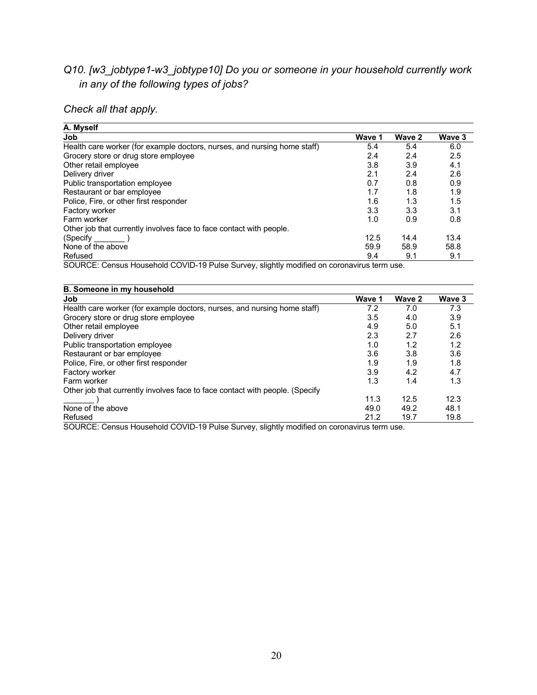# *Q10. [w3\_jobtype1-w3\_jobtype10] Do you or someone in your household currently work in any of the following types of jobs?*

# *Check all that apply.*

| A. Myself                                                                |        |        |        |
|--------------------------------------------------------------------------|--------|--------|--------|
| Job                                                                      | Wave 1 | Wave 2 | Wave 3 |
| Health care worker (for example doctors, nurses, and nursing home staff) | 5.4    | 5.4    | 6.0    |
| Grocery store or drug store employee                                     | 2.4    | 2.4    | 2.5    |
| Other retail employee                                                    | 3.8    | 3.9    | 4.1    |
| Delivery driver                                                          | 2.1    | 2.4    | 2.6    |
| Public transportation employee                                           | 0.7    | 0.8    | 0.9    |
| Restaurant or bar employee                                               | 1.7    | 1.8    | 1.9    |
| Police, Fire, or other first responder                                   | 1.6    | 1.3    | 1.5    |
| Factory worker                                                           | 3.3    | 3.3    | 3.1    |
| Farm worker                                                              | 1.0    | 0.9    | 0.8    |
| Other job that currently involves face to face contact with people.      |        |        |        |
| (Specify)                                                                | 12.5   | 14.4   | 13.4   |
| None of the above                                                        | 59.9   | 58.9   | 58.8   |
| Refused                                                                  | 9.4    | 9.1    | 9.1    |
| $\overline{0}$                                                           |        |        |        |

SOURCE: Census Household COVID-19 Pulse Survey, slightly modified on coronavirus term use.

| B. Someone in my household                                                   |        |        |        |
|------------------------------------------------------------------------------|--------|--------|--------|
| Job                                                                          | Wave 1 | Wave 2 | Wave 3 |
| Health care worker (for example doctors, nurses, and nursing home staff)     | 7.2    | 7.0    | 7.3    |
| Grocery store or drug store employee                                         | 3.5    | 4.0    | 3.9    |
| Other retail employee                                                        | 4.9    | 5.0    | 5.1    |
| Delivery driver                                                              | 2.3    | 2.7    | 2.6    |
| Public transportation employee                                               | 1.0    | 1.2    | 1.2    |
| Restaurant or bar employee                                                   | 3.6    | 3.8    | 3.6    |
| Police, Fire, or other first responder                                       | 1.9    | 1.9    | 1.8    |
| Factory worker                                                               | 3.9    | 4.2    | 4.7    |
| Farm worker                                                                  | 1.3    | 1.4    | 1.3    |
| Other job that currently involves face to face contact with people. (Specify |        |        |        |
|                                                                              | 11.3   | 12.5   | 12.3   |
| None of the above                                                            | 49.0   | 49.2   | 48.1   |
| Refused                                                                      | 21.2   | 19.7   | 19.8   |

SOURCE: Census Household COVID-19 Pulse Survey, slightly modified on coronavirus term use.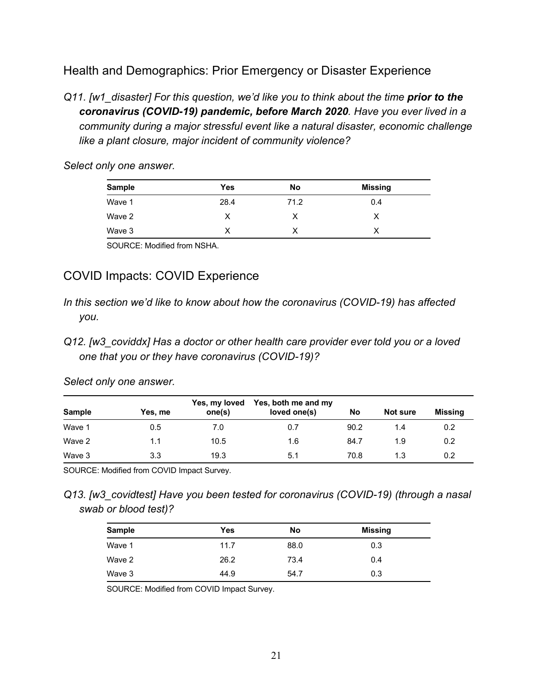# Health and Demographics: Prior Emergency or Disaster Experience

*Q11. [w1\_disaster] For this question, we'd like you to think about the time prior to the coronavirus (COVID-19) pandemic, before March 2020. Have you ever lived in a community during a major stressful event like a natural disaster, economic challenge like a plant closure, major incident of community violence?* 

| <b>Sample</b> | Yes  | No   | <b>Missing</b> |
|---------------|------|------|----------------|
| Wave 1        | 28.4 | 71.2 | 0.4            |
| Wave 2        | х    |      | х              |
| Wave 3        |      |      |                |

*Select only one answer.* 

SOURCE: Modified from NSHA.

# COVID Impacts: COVID Experience

- *In this section we'd like to know about how the coronavirus (COVID-19) has affected you.*
- *Q12. [w3\_coviddx] Has a doctor or other health care provider ever told you or a loved one that you or they have coronavirus (COVID-19)?*

*Select only one answer.* 

| <b>Sample</b> | Yes, me | Yes, my loved<br>one(s) | Yes, both me and my<br>loved one(s) | No   | Not sure | <b>Missing</b> |
|---------------|---------|-------------------------|-------------------------------------|------|----------|----------------|
| Wave 1        | 0.5     | 7.0                     | 0.7                                 | 90.2 | 1.4      | 0.2            |
| Wave 2        | 1.1     | 10.5                    | 1.6                                 | 84.7 | 1.9      | 0.2            |
| Wave 3        | 3.3     | 19.3                    | 5.1                                 | 70.8 | 1.3      | 0.2            |

SOURCE: Modified from COVID Impact Survey.

*Q13. [w3\_covidtest] Have you been tested for coronavirus (COVID-19) (through a nasal swab or blood test)?* 

| <b>Sample</b> | Yes  | No   | <b>Missing</b> |
|---------------|------|------|----------------|
| Wave 1        | 11.7 | 88.0 | 0.3            |
| Wave 2        | 26.2 | 73.4 | 0.4            |
| Wave 3        | 44.9 | 54.7 | 0.3            |

SOURCE: Modified from COVID Impact Survey.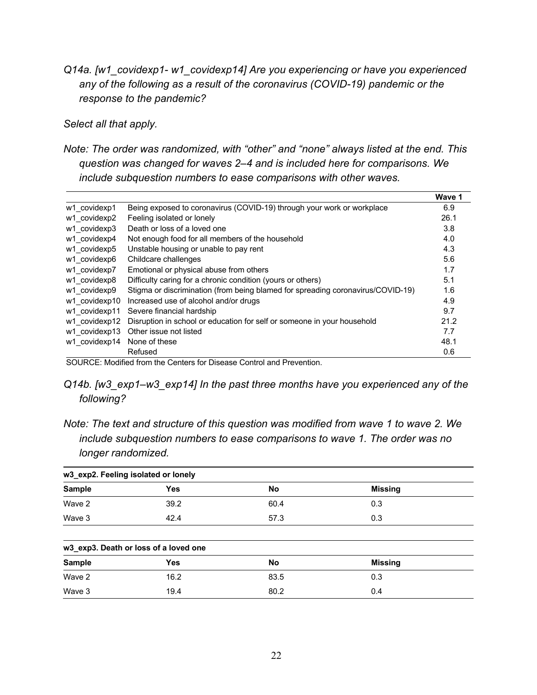*Q14a. [w1\_covidexp1- w1\_covidexp14] Are you experiencing or have you experienced any of the following as a result of the coronavirus (COVID-19) pandemic or the response to the pandemic?* 

*Select all that apply.* 

*Note: The order was randomized, with "other" and "none" always listed at the end. This question was changed for waves 2–4 and is included here for comparisons. We include subquestion numbers to ease comparisons with other waves.* 

|                                |                                                                                 | Wave 1 |
|--------------------------------|---------------------------------------------------------------------------------|--------|
| w1 covidexp1                   | Being exposed to coronavirus (COVID-19) through your work or workplace          | 6.9    |
| w1 covidexp2                   | Feeling isolated or lonely                                                      | 26.1   |
| w1 covidexp3                   | Death or loss of a loved one                                                    | 3.8    |
| w1 covidexp4                   | Not enough food for all members of the household                                | 4.0    |
| w1 covidexp5                   | Unstable housing or unable to pay rent                                          | 4.3    |
| w1 covidexp6                   | Childcare challenges                                                            | 5.6    |
| w1 covidexp7                   | Emotional or physical abuse from others                                         | 1.7    |
| w1 covidexp8                   | Difficulty caring for a chronic condition (yours or others)                     | 5.1    |
| w1 covidexp9                   | Stigma or discrimination (from being blamed for spreading coronavirus/COVID-19) | 1.6    |
| w1 covidexp10                  | Increased use of alcohol and/or drugs                                           | 4.9    |
| w1 covidexp11                  | Severe financial hardship                                                       | 9.7    |
| w1 covidexp12                  | Disruption in school or education for self or someone in your household         | 21.2   |
| w1 covidexp13                  | Other issue not listed                                                          | 7.7    |
| w1 covidexp14                  | None of these                                                                   | 48.1   |
|                                | Refused                                                                         | 0.6    |
| $\sim \cdot \cdot \cdot \cdot$ | _ _ _ _ _<br>$\sim$ $\sim$                                                      |        |

SOURCE: Modified from the Centers for Disease Control and Prevention.

- *Q14b. [w3\_exp1–w3\_exp14] In the past three months have you experienced any of the following?*
- *Note: The text and structure of this question was modified from wave 1 to wave 2. We include subquestion numbers to ease comparisons to wave 1. The order was no longer randomized.*

| w3_exp2. Feeling isolated or lonely |                                       |      |                |  |  |  |
|-------------------------------------|---------------------------------------|------|----------------|--|--|--|
| <b>Sample</b>                       | <b>Yes</b>                            | No   | <b>Missing</b> |  |  |  |
| Wave 2                              | 39.2                                  | 60.4 | 0.3            |  |  |  |
| Wave 3                              | 42.4                                  | 57.3 | 0.3            |  |  |  |
|                                     |                                       |      |                |  |  |  |
|                                     | w3_exp3. Death or loss of a loved one |      |                |  |  |  |
| <b>Sample</b>                       | <b>Yes</b>                            | No   | <b>Missing</b> |  |  |  |
| Wave 2                              | 16.2                                  | 83.5 | 0.3            |  |  |  |
| Wave 3                              | 19.4                                  | 80.2 | 0.4            |  |  |  |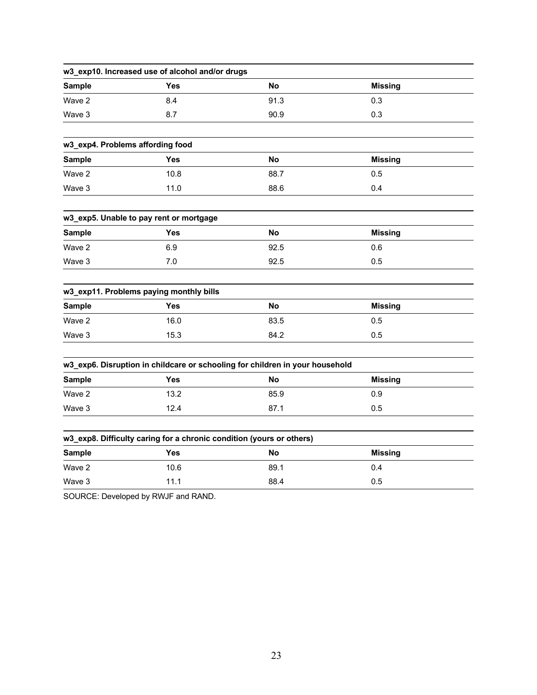| Yes                                     | <b>No</b>                                                                                       | <b>Missing</b>                                                                                                                      |                                                                                                                  |
|-----------------------------------------|-------------------------------------------------------------------------------------------------|-------------------------------------------------------------------------------------------------------------------------------------|------------------------------------------------------------------------------------------------------------------|
| 8.4                                     | 91.3                                                                                            | 0.3                                                                                                                                 |                                                                                                                  |
| 8.7                                     | 90.9                                                                                            | 0.3                                                                                                                                 |                                                                                                                  |
|                                         |                                                                                                 |                                                                                                                                     |                                                                                                                  |
| w3_exp4. Problems affording food        |                                                                                                 |                                                                                                                                     |                                                                                                                  |
| Yes                                     | <b>No</b>                                                                                       | <b>Missing</b>                                                                                                                      |                                                                                                                  |
| 10.8                                    | 88.7                                                                                            | 0.5                                                                                                                                 |                                                                                                                  |
| 11.0                                    | 88.6                                                                                            | 0.4                                                                                                                                 |                                                                                                                  |
|                                         |                                                                                                 |                                                                                                                                     |                                                                                                                  |
|                                         |                                                                                                 |                                                                                                                                     |                                                                                                                  |
|                                         | No                                                                                              | <b>Missing</b>                                                                                                                      |                                                                                                                  |
| 6.9                                     | 92.5                                                                                            | 0.6                                                                                                                                 |                                                                                                                  |
| 7.0                                     | 92.5                                                                                            | 0.5                                                                                                                                 |                                                                                                                  |
| w3_exp11. Problems paying monthly bills |                                                                                                 |                                                                                                                                     |                                                                                                                  |
| Yes                                     | No                                                                                              | <b>Missing</b>                                                                                                                      |                                                                                                                  |
| 16.0                                    | 83.5                                                                                            | 0.5                                                                                                                                 |                                                                                                                  |
| 15.3                                    | 84.2                                                                                            | 0.5                                                                                                                                 |                                                                                                                  |
|                                         |                                                                                                 |                                                                                                                                     |                                                                                                                  |
|                                         |                                                                                                 |                                                                                                                                     |                                                                                                                  |
|                                         |                                                                                                 |                                                                                                                                     |                                                                                                                  |
| 13.2                                    | 85.9                                                                                            | 0.9                                                                                                                                 |                                                                                                                  |
| 12.4                                    | 87.1                                                                                            | 0.5                                                                                                                                 |                                                                                                                  |
|                                         |                                                                                                 |                                                                                                                                     |                                                                                                                  |
|                                         |                                                                                                 |                                                                                                                                     |                                                                                                                  |
|                                         |                                                                                                 |                                                                                                                                     |                                                                                                                  |
| 10.6                                    | 89.1                                                                                            | 0.4                                                                                                                                 |                                                                                                                  |
| 11.1                                    | 88.4                                                                                            | 0.5                                                                                                                                 |                                                                                                                  |
|                                         | w3_exp5. Unable to pay rent or mortgage<br>Yes<br><b>Yes</b><br>Yes<br>P(111)<br>$\overline{1}$ | w3_exp10. Increased use of alcohol and/or drugs<br>No<br>w3_exp8. Difficulty caring for a chronic condition (yours or others)<br>No | w3_exp6. Disruption in childcare or schooling for children in your household<br><b>Missing</b><br><b>Missing</b> |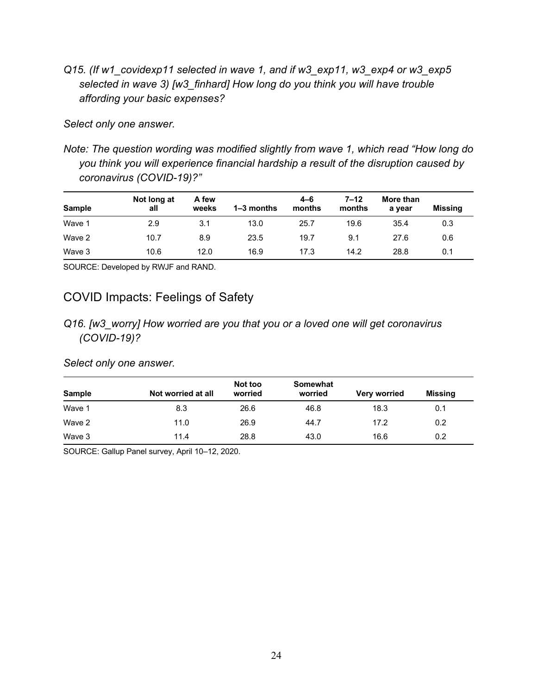*Q15. (If w1\_covidexp11 selected in wave 1, and if w3\_exp11, w3\_exp4 or w3\_exp5 selected in wave 3) [w3\_finhard] How long do you think you will have trouble affording your basic expenses?* 

*Select only one answer.* 

*Note: The question wording was modified slightly from wave 1, which read "How long do you think you will experience financial hardship a result of the disruption caused by coronavirus (COVID-19)?"* 

| <b>Sample</b> | Not long at<br>all | A few<br>weeks | $1 - 3$ months | $4 - 6$<br>months | $7 - 12$<br>months | More than<br>a vear | Missing |
|---------------|--------------------|----------------|----------------|-------------------|--------------------|---------------------|---------|
| Wave 1        | 2.9                | 3.1            | 13.0           | 25.7              | 19.6               | 35.4                | 0.3     |
| Wave 2        | 10.7               | 8.9            | 23.5           | 19.7              | 9.1                | 27.6                | 0.6     |
| Wave 3        | 10.6               | 12.0           | 16.9           | 17.3              | 14.2               | 28.8                | 0.1     |

SOURCE: Developed by RWJF and RAND.

# COVID Impacts: Feelings of Safety

*Q16. [w3\_worry] How worried are you that you or a loved one will get coronavirus (COVID-19)?* 

*Select only one answer.* 

| Sample | Not worried at all | Not too<br>worried | <b>Somewhat</b><br>worried | <b>Very worried</b> | <b>Missing</b> |
|--------|--------------------|--------------------|----------------------------|---------------------|----------------|
| Wave 1 | 8.3                | 26.6               | 46.8                       | 18.3                | 0.1            |
| Wave 2 | 11.0               | 26.9               | 44.7                       | 17.2                | 0.2            |
| Wave 3 | 11.4               | 28.8               | 43.0                       | 16.6                | 0.2            |

SOURCE: Gallup Panel survey, April 10–12, 2020.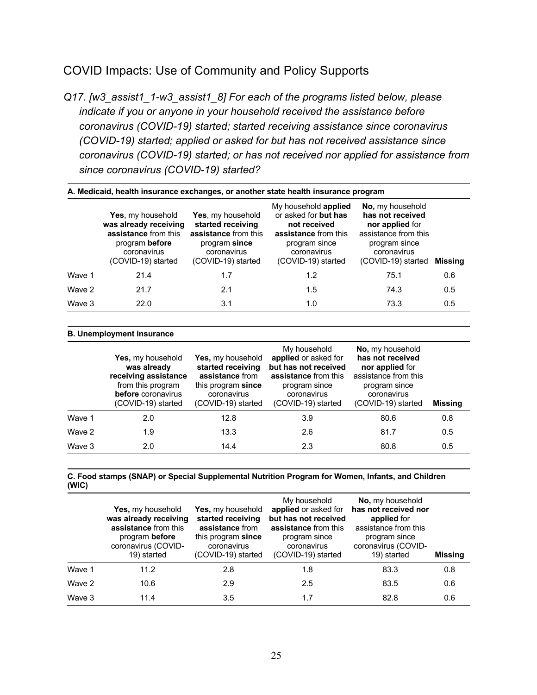# COVID Impacts: Use of Community and Policy Supports

*Q17. [w3\_assist1\_1-w3\_assist1\_8] For each of the programs listed below, please indicate if you or anyone in your household received the assistance before coronavirus (COVID-19) started; started receiving assistance since coronavirus (COVID-19) started; applied or asked for but has not received assistance since coronavirus (COVID-19) started; or has not received nor applied for assistance from since coronavirus (COVID-19) started?* 

|        | A. Medicaid, health insurance exchanges, or another state health insurance program                                        |                                                                                                                      |                                                                                                                                            |                                                                                                                                       |         |  |  |  |
|--------|---------------------------------------------------------------------------------------------------------------------------|----------------------------------------------------------------------------------------------------------------------|--------------------------------------------------------------------------------------------------------------------------------------------|---------------------------------------------------------------------------------------------------------------------------------------|---------|--|--|--|
|        | Yes, my household<br>was already receiving<br>assistance from this<br>program before<br>coronavirus<br>(COVID-19) started | Yes, my household<br>started receiving<br>assistance from this<br>program since<br>coronavirus<br>(COVID-19) started | My household applied<br>or asked for but has<br>not received<br>assistance from this<br>program since<br>coronavirus<br>(COVID-19) started | No, my household<br>has not received<br>nor applied for<br>assistance from this<br>program since<br>coronavirus<br>(COVID-19) started | Missina |  |  |  |
| Wave 1 | 21.4                                                                                                                      | 1.7                                                                                                                  | 1.2                                                                                                                                        | 75.1                                                                                                                                  | 0.6     |  |  |  |
| Wave 2 | 21.7                                                                                                                      | 2.1                                                                                                                  | 1.5                                                                                                                                        | 74.3                                                                                                                                  | 0.5     |  |  |  |
| Wave 3 | 22.0                                                                                                                      | 3.1                                                                                                                  | 1.0                                                                                                                                        | 73.3                                                                                                                                  | 0.5     |  |  |  |

#### **B. Unemployment insurance**

|        | Yes, my household<br>was already<br>receiving assistance<br>from this program<br>before coronavirus<br>(COVID-19) started | Yes, my household<br>started receiving<br>assistance from<br>this program since<br>coronavirus<br>(COVID-19) started | My household<br>applied or asked for<br>but has not received<br>assistance from this<br>program since<br>coronavirus<br>(COVID-19) started | No, my household<br>has not received<br>nor applied for<br>assistance from this<br>program since<br>coronavirus<br>(COVID-19) started | <b>Missing</b> |
|--------|---------------------------------------------------------------------------------------------------------------------------|----------------------------------------------------------------------------------------------------------------------|--------------------------------------------------------------------------------------------------------------------------------------------|---------------------------------------------------------------------------------------------------------------------------------------|----------------|
| Wave 1 | 2.0                                                                                                                       | 12.8                                                                                                                 | 3.9                                                                                                                                        | 80.6                                                                                                                                  | 0.8            |
| Wave 2 | 1.9                                                                                                                       | 13.3                                                                                                                 | 2.6                                                                                                                                        | 81.7                                                                                                                                  | 0.5            |
| Wave 3 | 2.0                                                                                                                       | 14.4                                                                                                                 | 2.3                                                                                                                                        | 80.8                                                                                                                                  | 0.5            |

**C. Food stamps (SNAP) or Special Supplemental Nutrition Program for Women, Infants, and Children (WIC)**

|        | Yes, my household<br>was already receiving<br>assistance from this<br>program before<br>coronavirus (COVID-<br>19) started | Yes, my household<br>started receiving<br>assistance from<br>this program since<br>coronavirus<br>(COVID-19) started | My household<br>applied or asked for<br>but has not received<br>assistance from this<br>program since<br>coronavirus<br>(COVID-19) started | No, my household<br>has not received nor<br>applied for<br>assistance from this<br>program since<br>coronavirus (COVID-<br>19) started | <b>Missing</b> |
|--------|----------------------------------------------------------------------------------------------------------------------------|----------------------------------------------------------------------------------------------------------------------|--------------------------------------------------------------------------------------------------------------------------------------------|----------------------------------------------------------------------------------------------------------------------------------------|----------------|
| Wave 1 | 11.2                                                                                                                       | 2.8                                                                                                                  | 1.8                                                                                                                                        | 83.3                                                                                                                                   | 0.8            |
| Wave 2 | 10.6                                                                                                                       | 2.9                                                                                                                  | 2.5                                                                                                                                        | 83.5                                                                                                                                   | 0.6            |
| Wave 3 | 11.4                                                                                                                       | 3.5                                                                                                                  | 1.7                                                                                                                                        | 82.8                                                                                                                                   | 0.6            |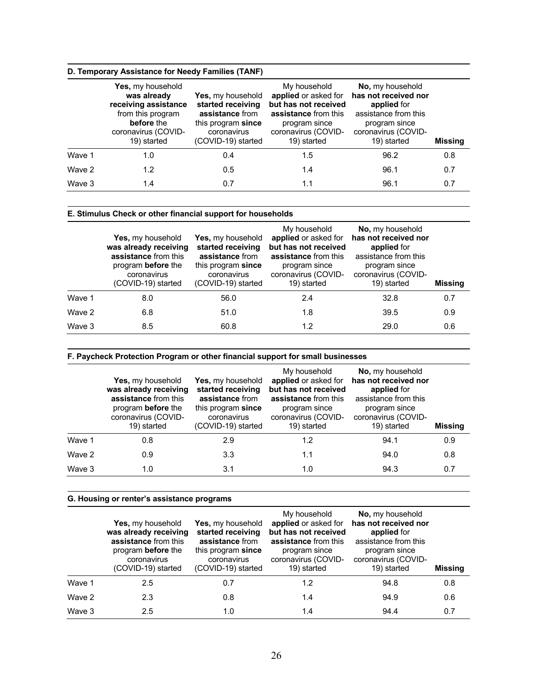### **D. Temporary Assistance for Needy Families (TANF)**

|        | Yes, my household<br>was already<br>receiving assistance<br>from this program<br>before the<br>coronavirus (COVID-<br>19) started | Yes, my household<br>started receiving<br>assistance from<br>this program since<br>coronavirus<br>(COVID-19) started | My household<br>applied or asked for<br>but has not received<br>assistance from this<br>program since<br>coronavirus (COVID-<br>19) started | No, my household<br>has not received nor<br>applied for<br>assistance from this<br>program since<br>coronavirus (COVID-<br>19) started | <b>Missing</b> |
|--------|-----------------------------------------------------------------------------------------------------------------------------------|----------------------------------------------------------------------------------------------------------------------|---------------------------------------------------------------------------------------------------------------------------------------------|----------------------------------------------------------------------------------------------------------------------------------------|----------------|
| Wave 1 | 1.0                                                                                                                               | 0.4                                                                                                                  | 1.5                                                                                                                                         | 96.2                                                                                                                                   | 0.8            |
| Wave 2 | 1.2                                                                                                                               | 0.5                                                                                                                  | 1.4                                                                                                                                         | 96.1                                                                                                                                   | 0.7            |
| Wave 3 | 1.4                                                                                                                               | 0.7                                                                                                                  | 1.1                                                                                                                                         | 96.1                                                                                                                                   | 0.7            |

### **E. Stimulus Check or other financial support for households**

|        | Yes, my household<br>was already receiving<br>assistance from this<br>program before the<br>coronavirus<br>(COVID-19) started | Yes, my household<br>started receiving<br>assistance from<br>this program since<br>coronavirus<br>(COVID-19) started | My household<br>applied or asked for<br>but has not received<br>assistance from this<br>program since<br>coronavirus (COVID-<br>19) started | <b>No.</b> my household<br>has not received nor<br>applied for<br>assistance from this<br>program since<br>coronavirus (COVID-<br>19) started | <b>Missing</b> |
|--------|-------------------------------------------------------------------------------------------------------------------------------|----------------------------------------------------------------------------------------------------------------------|---------------------------------------------------------------------------------------------------------------------------------------------|-----------------------------------------------------------------------------------------------------------------------------------------------|----------------|
| Wave 1 | 8.0                                                                                                                           | 56.0                                                                                                                 | 2.4                                                                                                                                         | 32.8                                                                                                                                          | 0.7            |
| Wave 2 | 6.8                                                                                                                           | 51.0                                                                                                                 | 1.8                                                                                                                                         | 39.5                                                                                                                                          | 0.9            |
| Wave 3 | 8.5                                                                                                                           | 60.8                                                                                                                 | 1.2                                                                                                                                         | 29.0                                                                                                                                          | 0.6            |

### **F. Paycheck Protection Program or other financial support for small businesses**

|        | Yes, my household<br>was already receiving<br>assistance from this<br>program before the<br>coronavirus (COVID-<br>19) started | Yes, my household<br>started receiving<br>assistance from<br>this program since<br>coronavirus<br>(COVID-19) started | My household<br>applied or asked for<br>but has not received<br>assistance from this<br>program since<br>coronavirus (COVID-<br>19) started | No, my household<br>has not received nor<br>applied for<br>assistance from this<br>program since<br>coronavirus (COVID-<br>19) started | <b>Missing</b> |
|--------|--------------------------------------------------------------------------------------------------------------------------------|----------------------------------------------------------------------------------------------------------------------|---------------------------------------------------------------------------------------------------------------------------------------------|----------------------------------------------------------------------------------------------------------------------------------------|----------------|
| Wave 1 | 0.8                                                                                                                            | 2.9                                                                                                                  | 1.2                                                                                                                                         | 94.1                                                                                                                                   | 0.9            |
| Wave 2 | 0.9                                                                                                                            | 3.3                                                                                                                  | 1.1                                                                                                                                         | 94.0                                                                                                                                   | 0.8            |
| Wave 3 | 1.0                                                                                                                            | 3.1                                                                                                                  | 1.0                                                                                                                                         | 94.3                                                                                                                                   | 0.7            |

### **G. Housing or renter's assistance programs**

|        | Yes, my household<br>was already receiving<br>assistance from this<br>program before the<br>coronavirus<br>(COVID-19) started | Yes, my household<br>started receiving<br>assistance from<br>this program since<br>coronavirus<br>(COVID-19) started | My household<br>applied or asked for<br>but has not received<br>assistance from this<br>program since<br>coronavirus (COVID-<br>19) started | No, my household<br>has not received nor<br>applied for<br>assistance from this<br>program since<br>coronavirus (COVID-<br>19) started | <b>Missing</b> |
|--------|-------------------------------------------------------------------------------------------------------------------------------|----------------------------------------------------------------------------------------------------------------------|---------------------------------------------------------------------------------------------------------------------------------------------|----------------------------------------------------------------------------------------------------------------------------------------|----------------|
| Wave 1 | 2.5                                                                                                                           | 0.7                                                                                                                  | 1.2                                                                                                                                         | 94.8                                                                                                                                   | 0.8            |
| Wave 2 | 2.3                                                                                                                           | 0.8                                                                                                                  | 1.4                                                                                                                                         | 94.9                                                                                                                                   | 0.6            |
| Wave 3 | 2.5                                                                                                                           | 1.0                                                                                                                  | 1.4                                                                                                                                         | 94.4                                                                                                                                   | 0.7            |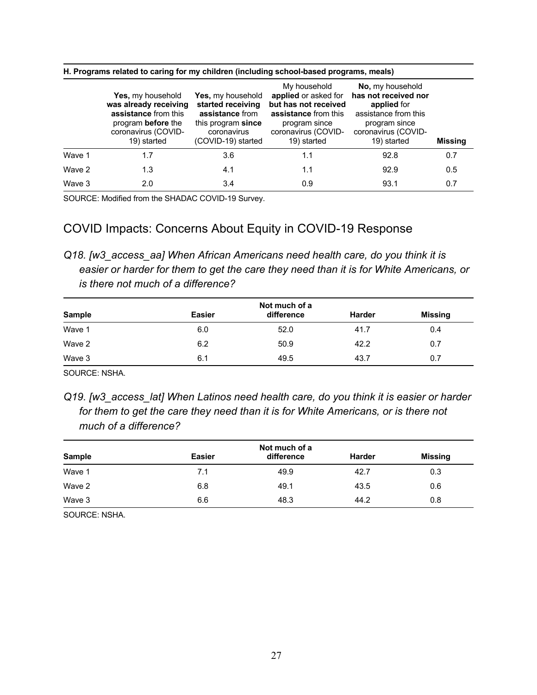|        | Yes, my household<br>was already receiving<br>assistance from this<br>program before the<br>coronavirus (COVID-<br>19) started | <b>Yes,</b> my household<br>started receiving<br>assistance from<br>this program since<br>coronavirus<br>(COVID-19) started | My household<br>applied or asked for<br>but has not received<br>assistance from this<br>program since<br>coronavirus (COVID-<br>19) started | No, my household<br>has not received nor<br>applied for<br>assistance from this<br>program since<br>coronavirus (COVID-<br>19) started | <b>Missing</b> |
|--------|--------------------------------------------------------------------------------------------------------------------------------|-----------------------------------------------------------------------------------------------------------------------------|---------------------------------------------------------------------------------------------------------------------------------------------|----------------------------------------------------------------------------------------------------------------------------------------|----------------|
| Wave 1 | 1.7                                                                                                                            | 3.6                                                                                                                         | 1.1                                                                                                                                         | 92.8                                                                                                                                   | 0.7            |
| Wave 2 | 1.3                                                                                                                            | 4.1                                                                                                                         | 1.1                                                                                                                                         | 92.9                                                                                                                                   | 0.5            |
| Wave 3 | 2.0                                                                                                                            | 3.4                                                                                                                         | 0.9                                                                                                                                         | 93.1                                                                                                                                   | 0.7            |

#### **H. Programs related to caring for my children (including school-based programs, meals)**

SOURCE: Modified from the SHADAC COVID-19 Survey.

# COVID Impacts: Concerns About Equity in COVID-19 Response

*Q18. [w3\_access\_aa] When African Americans need health care, do you think it is easier or harder for them to get the care they need than it is for White Americans, or is there not much of a difference?* 

| Not much of a |            |               |         |  |
|---------------|------------|---------------|---------|--|
| <b>Easier</b> | difference | <b>Harder</b> | Missing |  |
| 6.0           | 52.0       | 41.7          | 0.4     |  |
| 6.2           | 50.9       | 42.2          | 0.7     |  |
| 6.1           | 49.5       | 43.7          | 0.7     |  |
|               |            |               |         |  |

SOURCE: NSHA.

*Q19. [w3\_access\_lat] When Latinos need health care, do you think it is easier or harder*  for them to get the care they need than it is for White Americans, or is there not *much of a difference?* 

|               | Not much of a |            |               |         |  |
|---------------|---------------|------------|---------------|---------|--|
| <b>Sample</b> | <b>Easier</b> | difference | <b>Harder</b> | Missing |  |
| Wave 1        | 7.1           | 49.9       | 42.7          | 0.3     |  |
| Wave 2        | 6.8           | 49.1       | 43.5          | 0.6     |  |
| Wave 3        | 6.6           | 48.3       | 44.2          | 0.8     |  |

SOURCE: NSHA.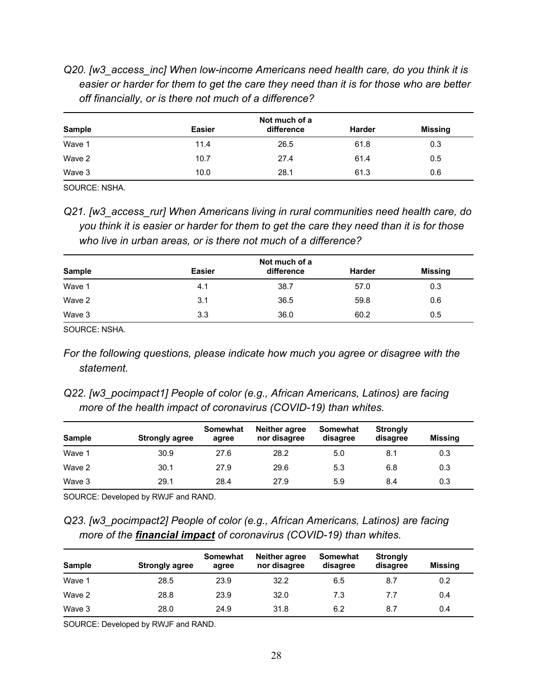*Q20. [w3\_access\_inc] When low-income Americans need health care, do you think it is easier or harder for them to get the care they need than it is for those who are better off financially, or is there not much of a difference?* 

| Not much of a |            |               |         |  |
|---------------|------------|---------------|---------|--|
| <b>Easier</b> | difference | <b>Harder</b> | Missing |  |
| 11.4          | 26.5       | 61.8          | 0.3     |  |
| 10.7          | 27.4       | 61.4          | 0.5     |  |
| 10.0          | 28.1       | 61.3          | 0.6     |  |
|               |            |               |         |  |

SOURCE: NSHA.

*Q21. [w3\_access\_rur] When Americans living in rural communities need health care, do you think it is easier or harder for them to get the care they need than it is for those who live in urban areas, or is there not much of a difference?* 

|               | Not much of a |            |               |                |  |
|---------------|---------------|------------|---------------|----------------|--|
| <b>Sample</b> | <b>Easier</b> | difference | <b>Harder</b> | <b>Missing</b> |  |
| Wave 1        | 4.1           | 38.7       | 57.0          | 0.3            |  |
| Wave 2        | 3.1           | 36.5       | 59.8          | 0.6            |  |
| Wave 3        | 3.3           | 36.0       | 60.2          | 0.5            |  |

SOURCE: NSHA.

- *For the following questions, please indicate how much you agree or disagree with the statement.*
- *Q22. [w3\_pocimpact1] People of color (e.g., African Americans, Latinos) are facing more of the health impact of coronavirus (COVID-19) than whites.*

| <b>Sample</b> | <b>Strongly agree</b> | <b>Somewhat</b><br>agree | Neither agree<br>nor disagree | Somewhat<br>disagree | <b>Strongly</b><br>disagree | Missing |
|---------------|-----------------------|--------------------------|-------------------------------|----------------------|-----------------------------|---------|
| Wave 1        | 30.9                  | 27.6                     | 28.2                          | 5.0                  | 8.1                         | 0.3     |
| Wave 2        | 30.1                  | 27.9                     | 29.6                          | 5.3                  | 6.8                         | 0.3     |
| Wave 3        | 29.1                  | 28.4                     | 27.9                          | 5.9                  | 8.4                         | 0.3     |

SOURCE: Developed by RWJF and RAND.

*Q23. [w3\_pocimpact2] People of color (e.g., African Americans, Latinos) are facing more of the financial impact of coronavirus (COVID-19) than whites.* 

| <b>Sample</b> | <b>Strongly agree</b> | Somewhat<br>agree | <b>Neither agree</b><br>nor disagree | Somewhat<br>disagree | <b>Strongly</b><br>disagree | Missing |
|---------------|-----------------------|-------------------|--------------------------------------|----------------------|-----------------------------|---------|
| Wave 1        | 28.5                  | 23.9              | 32.2                                 | 6.5                  | 8.7                         | 0.2     |
| Wave 2        | 28.8                  | 23.9              | 32.0                                 | 7.3                  | 7.7                         | 0.4     |
| Wave 3        | 28.0                  | 24.9              | 31.8                                 | 6.2                  | 8.7                         | 0.4     |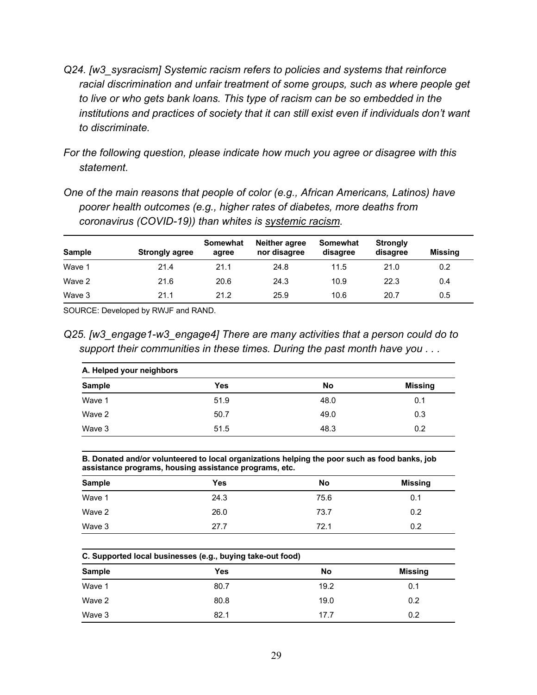- *Q24. [w3\_sysracism] Systemic racism refers to policies and systems that reinforce racial discrimination and unfair treatment of some groups, such as where people get to live or who gets bank loans. This type of racism can be so embedded in the institutions and practices of society that it can still exist even if individuals don't want to discriminate.*
- *For the following question, please indicate how much you agree or disagree with this statement.*
- *One of the main reasons that people of color (e.g., African Americans, Latinos) have poorer health outcomes (e.g., higher rates of diabetes, more deaths from coronavirus (COVID-19)) than whites is systemic racism.*

| <b>Sample</b> | <b>Strongly agree</b> | <b>Somewhat</b><br>agree | Neither agree<br>nor disagree | Somewhat<br>disagree | <b>Strongly</b><br>disagree | Missing |
|---------------|-----------------------|--------------------------|-------------------------------|----------------------|-----------------------------|---------|
| Wave 1        | 21.4                  | 21.1                     | 24.8                          | 11.5                 | 21.0                        | 0.2     |
| Wave 2        | 21.6                  | 20.6                     | 24.3                          | 10.9                 | 22.3                        | 0.4     |
| Wave 3        | 21.1                  | 21.2                     | 25.9                          | 10.6                 | 20.7                        | 0.5     |

SOURCE: Developed by RWJF and RAND.

*Q25. [w3\_engage1-w3\_engage4] There are many activities that a person could do to support their communities in these times. During the past month have you . . .* 

| A. Helped your neighbors |      |      |                |  |
|--------------------------|------|------|----------------|--|
| <b>Sample</b>            | Yes  | No   | <b>Missing</b> |  |
| Wave 1                   | 51.9 | 48.0 | 0.1            |  |
| Wave 2                   | 50.7 | 49.0 | 0.3            |  |
| Wave 3                   | 51.5 | 48.3 | 0.2            |  |

**B. Donated and/or volunteered to local organizations helping the poor such as food banks, job assistance programs, housing assistance programs, etc.**

| <b>Sample</b> | Yes  | No   | Missing |
|---------------|------|------|---------|
| Wave 1        | 24.3 | 75.6 | 0.1     |
| Wave 2        | 26.0 | 73.7 | 0.2     |
| Wave 3        | 27.7 | 72.1 | 0.2     |

| C. Supported local businesses (e.g., buying take-out food) |      |      |         |  |
|------------------------------------------------------------|------|------|---------|--|
| <b>Sample</b>                                              | Yes  | No   | Missing |  |
| Wave 1                                                     | 80.7 | 19.2 | 0.1     |  |
| Wave 2                                                     | 80.8 | 19.0 | 0.2     |  |
| Wave 3                                                     | 82.1 | 17.7 | 0.2     |  |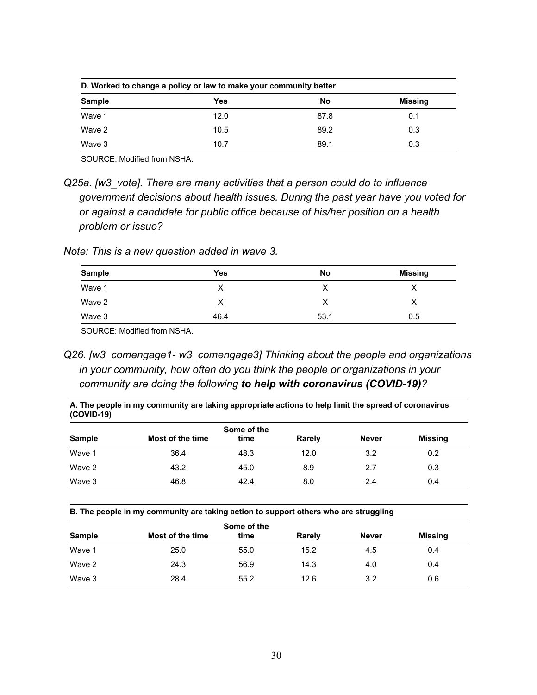| D. Worked to change a policy or law to make your community better |      |      |                |  |
|-------------------------------------------------------------------|------|------|----------------|--|
| <b>Sample</b>                                                     | Yes  | No   | <b>Missing</b> |  |
| Wave 1                                                            | 12.0 | 87.8 | 0.1            |  |
| Wave 2                                                            | 10.5 | 89.2 | 0.3            |  |
| Wave 3                                                            | 10.7 | 89.1 | 0.3            |  |

SOURCE: Modified from NSHA.

*Q25a. [w3\_vote]. There are many activities that a person could do to influence government decisions about health issues. During the past year have you voted for or against a candidate for public office because of his/her position on a health problem or issue?* 

*Note: This is a new question added in wave 3.* 

| <b>Sample</b> | <b>Yes</b> | No   | <b>Missing</b> |
|---------------|------------|------|----------------|
| Wave 1        | ◡<br>⋏     | ↗    | ⋏              |
| Wave 2        | х          |      | ⋏              |
| Wave 3        | 46.4       | 53.1 | 0.5            |

SOURCE: Modified from NSHA.

*Q26. [w3\_comengage1- w3\_comengage3] Thinking about the people and organizations in your community, how often do you think the people or organizations in your community are doing the following to help with coronavirus (COVID-19)?* 

**A. The people in my community are taking appropriate actions to help limit the spread of coronavirus (COVID-19)**

| Sample | Most of the time | Some of the<br>time | Rarely | <b>Never</b> | <b>Missing</b> |
|--------|------------------|---------------------|--------|--------------|----------------|
| Wave 1 | 36.4             | 48.3                | 12.0   | 3.2          | 0.2            |
| Wave 2 | 43.2             | 45.0                | 8.9    | 2.7          | 0.3            |
| Wave 3 | 46.8             | 42.4                | 8.0    | 2.4          | 0.4            |

**B. The people in my community are taking action to support others who are struggling**

|               |                  | Some of the |        |              |                |
|---------------|------------------|-------------|--------|--------------|----------------|
| <b>Sample</b> | Most of the time | time        | Rarely | <b>Never</b> | <b>Missing</b> |
| Wave 1        | 25.0             | 55.0        | 15.2   | 4.5          | 0.4            |
| Wave 2        | 24.3             | 56.9        | 14.3   | 4.0          | 0.4            |
| Wave 3        | 28.4             | 55.2        | 12.6   | 3.2          | 0.6            |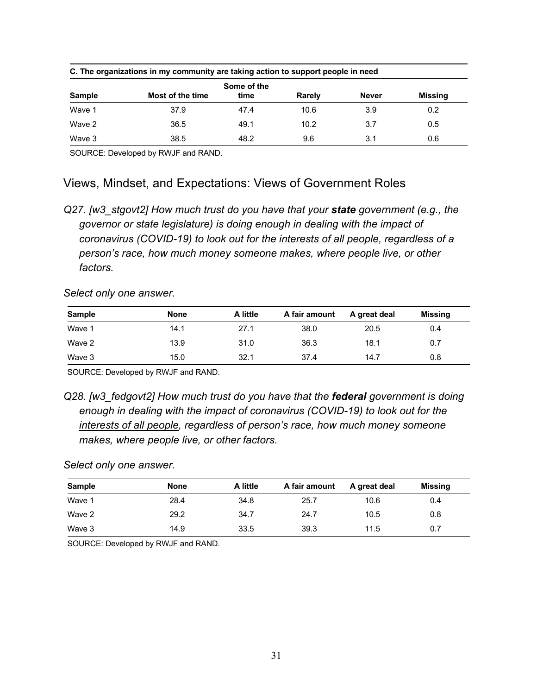|        | C. The organizations in my community are taking action to support people in need |                     |        |              |         |  |  |  |  |
|--------|----------------------------------------------------------------------------------|---------------------|--------|--------------|---------|--|--|--|--|
| Sample | Most of the time                                                                 | Some of the<br>time | Rarely | <b>Never</b> | Missing |  |  |  |  |
| Wave 1 | 37.9                                                                             | 47.4                | 10.6   | 3.9          | 0.2     |  |  |  |  |
| Wave 2 | 36.5                                                                             | 49.1                | 10.2   | 3.7          | 0.5     |  |  |  |  |
| Wave 3 | 38.5                                                                             | 48.2                | 9.6    | 3.1          | 0.6     |  |  |  |  |

SOURCE: Developed by RWJF and RAND.

# Views, Mindset, and Expectations: Views of Government Roles

*Select only one answer.* 

| <b>Sample</b> | <b>None</b> | A little | A fair amount | A great deal | Missing |
|---------------|-------------|----------|---------------|--------------|---------|
| Wave 1        | 14.1        | 27.1     | 38.0          | 20.5         | 0.4     |
| Wave 2        | 13.9        | 31.0     | 36.3          | 18.1         | 0.7     |
| Wave 3        | 15.0        | 32.1     | 37.4          | 14.7         | 0.8     |

SOURCE: Developed by RWJF and RAND.

*Select only one answer.* 

| <b>Sample</b> | <b>None</b> | A little | A fair amount | A great deal | Missing |
|---------------|-------------|----------|---------------|--------------|---------|
| Wave 1        | 28.4        | 34.8     | 25.7          | 10.6         | 0.4     |
| Wave 2        | 29.2        | 34.7     | 24.7          | 10.5         | 0.8     |
| Wave 3        | 14.9        | 33.5     | 39.3          | 11.5         | 0.7     |

*Q27. [w3\_stgovt2] How much trust do you have that your state government (e.g., the governor or state legislature) is doing enough in dealing with the impact of coronavirus (COVID-19) to look out for the interests of all people, regardless of a person's race, how much money someone makes, where people live, or other factors.* 

*Q28. [w3\_fedgovt2] How much trust do you have that the federal government is doing enough in dealing with the impact of coronavirus (COVID-19) to look out for the interests of all people, regardless of person's race, how much money someone makes, where people live, or other factors.*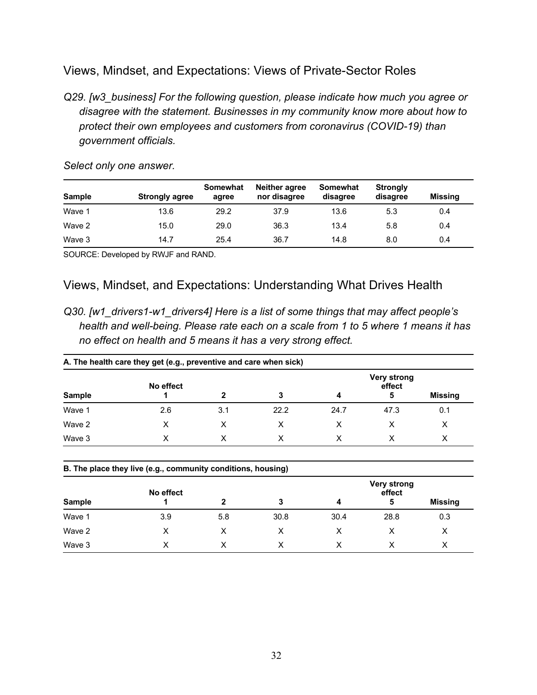# Views, Mindset, and Expectations: Views of Private-Sector Roles

*Q29. [w3\_business] For the following question, please indicate how much you agree or disagree with the statement. Businesses in my community know more about how to protect their own employees and customers from coronavirus (COVID-19) than government officials.* 

| <b>Sample</b> | <b>Strongly agree</b> | Somewhat<br>agree | Neither agree<br>nor disagree | Somewhat<br>disagree | <b>Strongly</b><br>disagree | <b>Missing</b> |
|---------------|-----------------------|-------------------|-------------------------------|----------------------|-----------------------------|----------------|
| Wave 1        | 13.6                  | 29.2              | 37.9                          | 13.6                 | 5.3                         | 0.4            |
| Wave 2        | 15.0                  | 29.0              | 36.3                          | 13.4                 | 5.8                         | 0.4            |
| Wave 3        | 14.7                  | 25.4              | 36.7                          | 14.8                 | 8.0                         | 0.4            |

*Select only one answer.* 

SOURCE: Developed by RWJF and RAND.

# Views, Mindset, and Expectations: Understanding What Drives Health

*Q30. [w1\_drivers1-w1\_drivers4] Here is a list of some things that may affect people's health and well-being. Please rate each on a scale from 1 to 5 where 1 means it has no effect on health and 5 means it has a very strong effect.* 

| A. The health care they get (e.g., preventive and care when sick) |           |     |      |      |                       |         |  |  |
|-------------------------------------------------------------------|-----------|-----|------|------|-----------------------|---------|--|--|
|                                                                   | No effect |     |      |      | Very strong<br>effect |         |  |  |
| <b>Sample</b>                                                     |           | 2   | 3    | 4    | 5                     | Missing |  |  |
| Wave 1                                                            | 2.6       | 3.1 | 22.2 | 24.7 | 47.3                  | 0.1     |  |  |
| Wave 2                                                            | х         |     |      | х    |                       | х       |  |  |
| Wave 3                                                            | x         |     |      |      |                       | X       |  |  |

|               | B. The place they live (e.g., community conditions, housing) |     |      |      |                              |         |  |  |  |  |  |
|---------------|--------------------------------------------------------------|-----|------|------|------------------------------|---------|--|--|--|--|--|
|               | No effect                                                    |     |      |      | <b>Very strong</b><br>effect |         |  |  |  |  |  |
| <b>Sample</b> |                                                              |     | 3    | 4    | 5                            | Missing |  |  |  |  |  |
| Wave 1        | 3.9                                                          | 5.8 | 30.8 | 30.4 | 28.8                         | 0.3     |  |  |  |  |  |
| Wave 2        | x                                                            |     |      | х    | х                            | х       |  |  |  |  |  |
| Wave 3        |                                                              |     |      |      |                              | X       |  |  |  |  |  |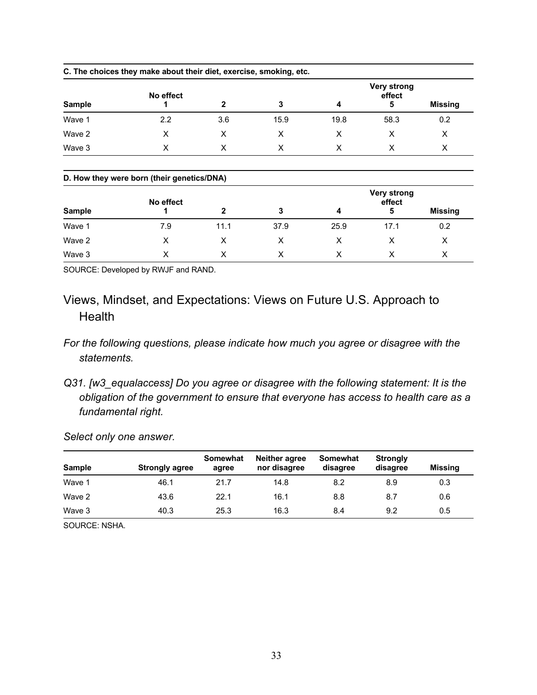|               | C. The choices they make about their diet, exercise, smoking, etc. |              |      |      |                                   |                |
|---------------|--------------------------------------------------------------------|--------------|------|------|-----------------------------------|----------------|
| <b>Sample</b> | No effect                                                          | $\mathbf{2}$ | 3    | 4    | <b>Very strong</b><br>effect<br>5 | <b>Missing</b> |
| Wave 1        | 2.2                                                                | 3.6          | 15.9 | 19.8 | 58.3                              | 0.2            |
| Wave 2        | X                                                                  | X            | X    | X    | X                                 | X              |
| Wave 3        | X                                                                  | X            | X    | X    | X                                 | X              |
|               | D. How they were born (their genetics/DNA)                         |              |      |      |                                   |                |
| <b>Sample</b> | No effect                                                          | 2            | 3    | 4    | <b>Very strong</b><br>effect<br>5 | <b>Missing</b> |
| Wave 1        | 7.9                                                                | 11.1         | 37.9 | 25.9 | 17.1                              | 0.2            |

SOURCE: Developed by RWJF and RAND.

Views, Mindset, and Expectations: Views on Future U.S. Approach to **Health** 

Wave 2 X X X X X X Wave 3 X X X X X X

- *For the following questions, please indicate how much you agree or disagree with the statements.*
- *Q31. [w3\_equalaccess] Do you agree or disagree with the following statement: It is the obligation of the government to ensure that everyone has access to health care as a fundamental right.*

*Select only one answer.* 

| <b>Sample</b> | <b>Strongly agree</b> | Somewhat<br>agree | <b>Neither agree</b><br>nor disagree | Somewhat<br>disagree | <b>Strongly</b><br>disagree | Missing |
|---------------|-----------------------|-------------------|--------------------------------------|----------------------|-----------------------------|---------|
| Wave 1        | 46.1                  | 21.7              | 14.8                                 | 8.2                  | 8.9                         | 0.3     |
| Wave 2        | 43.6                  | 22.1              | 16.1                                 | 8.8                  | 8.7                         | 0.6     |
| Wave 3        | 40.3                  | 25.3              | 16.3                                 | 8.4                  | 9.2                         | 0.5     |

SOURCE: NSHA.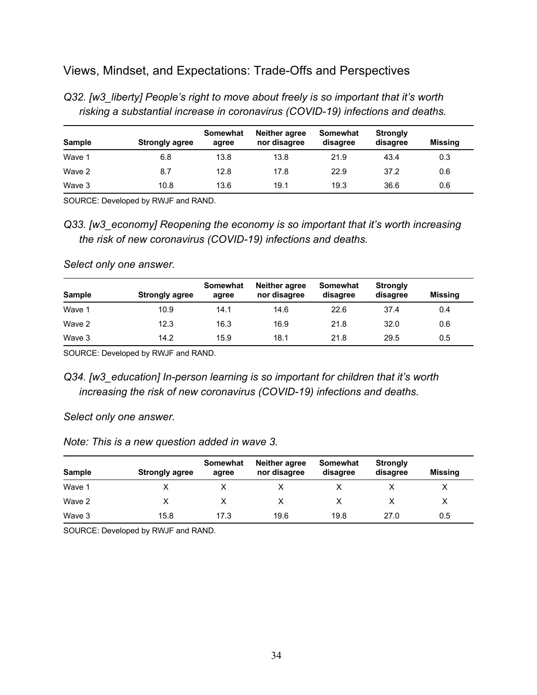# Views, Mindset, and Expectations: Trade-Offs and Perspectives

| $100$ and $000$ and $000$ and $000$ and $000$ and $000$ and $000$ and $000$ and $000$ and $000$ |                       |                   |                               |                             |                             |         |  |
|-------------------------------------------------------------------------------------------------|-----------------------|-------------------|-------------------------------|-----------------------------|-----------------------------|---------|--|
| <b>Sample</b>                                                                                   | <b>Strongly agree</b> | Somewhat<br>agree | Neither agree<br>nor disagree | <b>Somewhat</b><br>disagree | <b>Strongly</b><br>disagree | Missing |  |
| Wave 1                                                                                          | 6.8                   | 13.8              | 13.8                          | 21.9                        | 43.4                        | 0.3     |  |
| Wave 2                                                                                          | 8.7                   | 12.8              | 17.8                          | 22.9                        | 37.2                        | 0.6     |  |
| Wave 3                                                                                          | 10.8                  | 13.6              | 19.1                          | 19.3                        | 36.6                        | 0.6     |  |

*Q32. [w3\_liberty] People's right to move about freely is so important that it's worth risking a substantial increase in coronavirus (COVID-19) infections and deaths.* 

SOURCE: Developed by RWJF and RAND.

*Q33. [w3\_economy] Reopening the economy is so important that it's worth increasing the risk of new coronavirus (COVID-19) infections and deaths.* 

*Select only one answer.* 

| <b>Sample</b> | <b>Strongly agree</b> | <b>Somewhat</b><br>agree | <b>Neither agree</b><br>nor disagree | Somewhat<br>disagree | <b>Strongly</b><br>disagree | <b>Missing</b> |
|---------------|-----------------------|--------------------------|--------------------------------------|----------------------|-----------------------------|----------------|
| Wave 1        | 10.9                  | 14.1                     | 14.6                                 | 22.6                 | 37.4                        | 0.4            |
| Wave 2        | 12.3                  | 16.3                     | 16.9                                 | 21.8                 | 32.0                        | 0.6            |
| Wave 3        | 14.2                  | 15.9                     | 18.1                                 | 21.8                 | 29.5                        | 0.5            |

SOURCE: Developed by RWJF and RAND.

*Q34. [w3\_education] In-person learning is so important for children that it's worth increasing the risk of new coronavirus (COVID-19) infections and deaths.* 

*Select only one answer.* 

*Note: This is a new question added in wave 3.* 

| <b>Sample</b> | <b>Strongly agree</b> | Somewhat<br>agree | <b>Neither agree</b><br>nor disagree | Somewhat<br>disagree | <b>Strongly</b><br>disagree | Missing |
|---------------|-----------------------|-------------------|--------------------------------------|----------------------|-----------------------------|---------|
| Wave 1        |                       |                   |                                      |                      |                             |         |
| Wave 2        |                       |                   |                                      |                      |                             |         |
| Wave 3        | 15.8                  | 17.3              | 19.6                                 | 19.8                 | 27.0                        | 0.5     |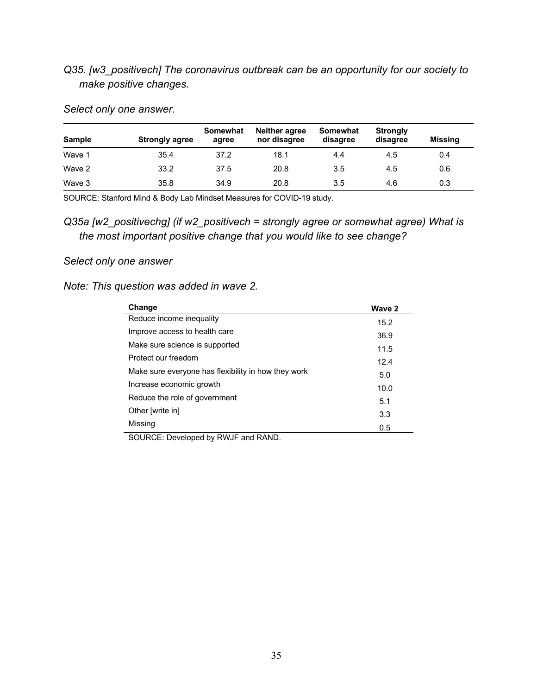# *Q35. [w3\_positivech] The coronavirus outbreak can be an opportunity for our society to make positive changes.*

| <b>Sample</b> | <b>Strongly agree</b> | Somewhat<br>agree | Neither agree<br>nor disagree | Somewhat<br>disagree | <b>Strongly</b><br>disagree | <b>Missing</b> |
|---------------|-----------------------|-------------------|-------------------------------|----------------------|-----------------------------|----------------|
| Wave 1        | 35.4                  | 37.2              | 18.1                          | 4.4                  | 4.5                         | 0.4            |
| Wave 2        | 33.2                  | 37.5              | 20.8                          | 3.5                  | 4.5                         | 0.6            |
| Wave 3        | 35.8                  | 34.9              | 20.8                          | 3.5                  | 4.6                         | 0.3            |

*Select only one answer.* 

SOURCE: Stanford Mind & Body Lab Mindset Measures for COVID-19 study.

*Q35a [w2\_positivechg] (if w2\_positivech = strongly agree or somewhat agree) What is the most important positive change that you would like to see change?* 

# *Select only one answer*

# *Note: This question was added in wave 2.*

| Change                                              | Wave 2 |
|-----------------------------------------------------|--------|
| Reduce income inequality                            | 15.2   |
| Improve access to health care                       | 36.9   |
| Make sure science is supported                      | 11.5   |
| Protect our freedom                                 | 12.4   |
| Make sure everyone has flexibility in how they work | 5.0    |
| Increase economic growth                            | 10.0   |
| Reduce the role of government                       | 5.1    |
| Other [write in]                                    | 3.3    |
| Missing                                             | 0.5    |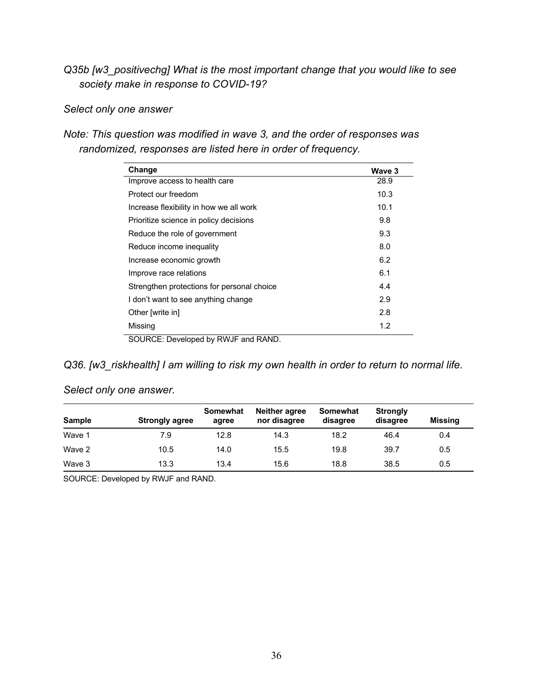*Q35b [w3\_positivechg] What is the most important change that you would like to see society make in response to COVID-19?*

# *Select only one answer*

*Note: This question was modified in wave 3, and the order of responses was randomized, responses are listed here in order of frequency.* 

| Change                                     | Wave 3 |
|--------------------------------------------|--------|
| Improve access to health care              | 28.9   |
| Protect our freedom                        | 10.3   |
| Increase flexibility in how we all work    | 10.1   |
| Prioritize science in policy decisions     | 9.8    |
| Reduce the role of government              | 9.3    |
| Reduce income inequality                   | 8.0    |
| Increase economic growth                   | 6.2    |
| Improve race relations                     | 6.1    |
| Strengthen protections for personal choice | 4.4    |
| I don't want to see anything change        | 2.9    |
| Other [write in]                           | 2.8    |
| Missing                                    | 1.2    |
| SOURCE: Developed by RWJF and RAND.        |        |

*Q36. [w3\_riskhealth] I am willing to risk my own health in order to return to normal life.* 

| Sample | <b>Strongly agree</b> | <b>Somewhat</b><br>agree | Neither agree<br>nor disagree | Somewhat<br>disagree | <b>Strongly</b><br>disagree | <b>Missing</b> |
|--------|-----------------------|--------------------------|-------------------------------|----------------------|-----------------------------|----------------|
| Wave 1 | 7.9                   | 12.8                     | 14.3                          | 18.2                 | 46.4                        | 0.4            |
| Wave 2 | 10.5                  | 14.0                     | 15.5                          | 19.8                 | 39.7                        | 0.5            |
| Wave 3 | 13.3                  | 13.4                     | 15.6                          | 18.8                 | 38.5                        | 0.5            |

*Select only one answer.*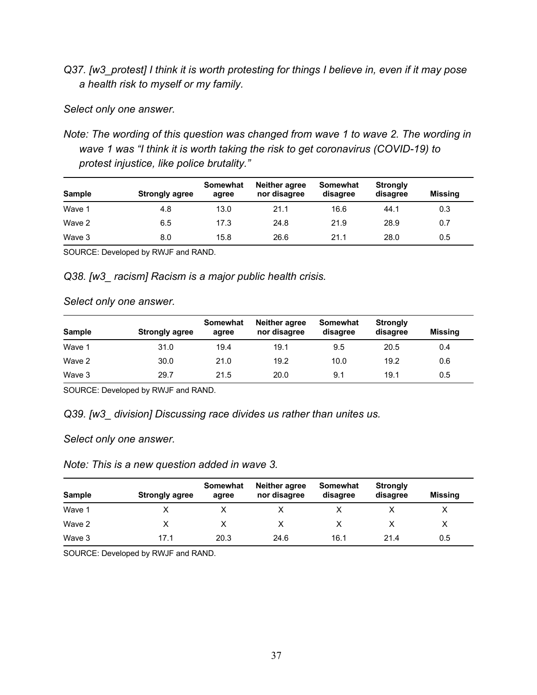*Q37. [w3\_protest] I think it is worth protesting for things I believe in, even if it may pose a health risk to myself or my family.* 

*Select only one answer.* 

*Note: The wording of this question was changed from wave 1 to wave 2. The wording in wave 1 was "I think it is worth taking the risk to get coronavirus (COVID-19) to protest injustice, like police brutality."* 

| <b>Sample</b> | <b>Strongly agree</b> | <b>Somewhat</b><br>agree | Neither agree<br>nor disagree | Somewhat<br>disagree | <b>Strongly</b><br>disagree | Missing |
|---------------|-----------------------|--------------------------|-------------------------------|----------------------|-----------------------------|---------|
| Wave 1        | 4.8                   | 13.0                     | 21.1                          | 16.6                 | 44.1                        | 0.3     |
| Wave 2        | 6.5                   | 17.3                     | 24.8                          | 21.9                 | 28.9                        | 0.7     |
| Wave 3        | 8.0                   | 15.8                     | 26.6                          | 21.1                 | 28.0                        | 0.5     |

SOURCE: Developed by RWJF and RAND.

*Q38. [w3\_ racism] Racism is a major public health crisis.* 

### *Select only one answer.*

| <b>Sample</b> | <b>Strongly agree</b> | Somewhat<br>agree | Neither agree<br>nor disagree | Somewhat<br>disagree | <b>Strongly</b><br>disagree | <b>Missing</b> |
|---------------|-----------------------|-------------------|-------------------------------|----------------------|-----------------------------|----------------|
| Wave 1        | 31.0                  | 19.4              | 19.1                          | 9.5                  | 20.5                        | 0.4            |
| Wave 2        | 30.0                  | 21.0              | 19.2                          | 10.0                 | 19.2                        | 0.6            |
| Wave 3        | 29.7                  | 21.5              | 20.0                          | 9.1                  | 19.1                        | 0.5            |

SOURCE: Developed by RWJF and RAND.

# *Q39. [w3\_ division] Discussing race divides us rather than unites us.*

*Select only one answer.* 

### *Note: This is a new question added in wave 3.*

| <b>Sample</b> | <b>Strongly agree</b> | <b>Somewhat</b><br>agree | Neither agree<br>nor disagree | Somewhat<br>disagree | <b>Strongly</b><br>disagree | <b>Missing</b> |
|---------------|-----------------------|--------------------------|-------------------------------|----------------------|-----------------------------|----------------|
| Wave 1        |                       |                          |                               |                      |                             |                |
| Wave 2        |                       |                          |                               |                      |                             |                |
| Wave 3        | 17.1                  | 20.3                     | 24.6                          | 16.1                 | 21.4                        | 0.5            |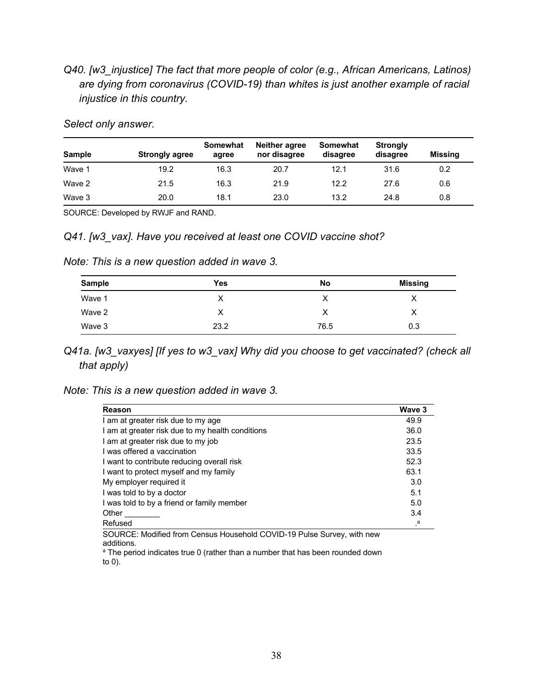*Q40. [w3\_injustice] The fact that more people of color (e.g., African Americans, Latinos) are dying from coronavirus (COVID-19) than whites is just another example of racial injustice in this country.* 

|  |  | Select only answer. |
|--|--|---------------------|
|--|--|---------------------|

| <b>Sample</b> | <b>Strongly agree</b> | <b>Somewhat</b><br>agree | <b>Neither agree</b><br>nor disagree | Somewhat<br>disagree | <b>Strongly</b><br>disagree | Missing |
|---------------|-----------------------|--------------------------|--------------------------------------|----------------------|-----------------------------|---------|
| Wave 1        | 19.2                  | 16.3                     | 20.7                                 | 12.1                 | 31.6                        | 0.2     |
| Wave 2        | 21.5                  | 16.3                     | 21.9                                 | 12.2                 | 27.6                        | 0.6     |
| Wave 3        | 20.0                  | 18.1                     | 23.0                                 | 13.2                 | 24.8                        | 0.8     |

SOURCE: Developed by RWJF and RAND.

*Q41. [w3\_vax]. Have you received at least one COVID vaccine shot?* 

|  |  | Note: This is a new question added in wave 3. |  |  |
|--|--|-----------------------------------------------|--|--|
|  |  |                                               |  |  |

| <b>Sample</b> | Yes  | No   | <b>Missing</b> |
|---------------|------|------|----------------|
| Wave 1        | ∧    | ⌒    |                |
| Wave 2        | X    | ⌒    | х              |
| Wave 3        | 23.2 | 76.5 | 0.3            |

*Q41a. [w3\_vaxyes] [If yes to w3\_vax] Why did you choose to get vaccinated? (check all that apply)* 

| Note: This is a new question added in wave 3. |  |  |  |  |  |  |  |  |
|-----------------------------------------------|--|--|--|--|--|--|--|--|
|-----------------------------------------------|--|--|--|--|--|--|--|--|

| Reason                                           | Wave 3    |
|--------------------------------------------------|-----------|
| I am at greater risk due to my age               | 49.9      |
| I am at greater risk due to my health conditions | 36.0      |
| I am at greater risk due to my job               | 23.5      |
| I was offered a vaccination                      | 33.5      |
| I want to contribute reducing overall risk       | 52.3      |
| I want to protect myself and my family           | 63.1      |
| My employer required it                          | 3.0       |
| I was told to by a doctor                        | 5.1       |
| I was told to by a friend or family member       | 5.0       |
| Other                                            | 3.4       |
| Refused                                          | $\cdot^a$ |

SOURCE: Modified from Census Household COVID-19 Pulse Survey, with new additions.

a The period indicates true 0 (rather than a number that has been rounded down to 0).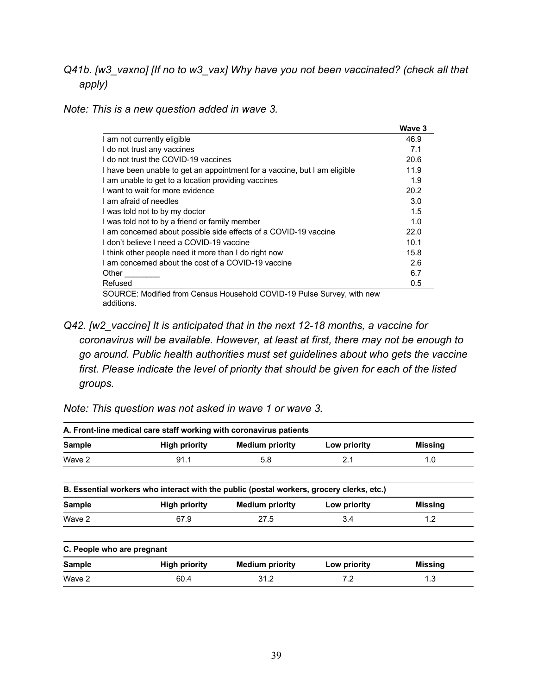*Q41b. [w3\_vaxno] [If no to w3\_vax] Why have you not been vaccinated? (check all that apply)* 

*Note: This is a new question added in wave 3.* 

|                                                                           | Wave 3 |
|---------------------------------------------------------------------------|--------|
| I am not currently eligible                                               | 46.9   |
| I do not trust any vaccines                                               | 7.1    |
| I do not trust the COVID-19 vaccines                                      | 20.6   |
| I have been unable to get an appointment for a vaccine, but I am eligible | 11.9   |
| I am unable to get to a location providing vaccines                       | 1.9    |
| I want to wait for more evidence                                          | 20.2   |
| I am afraid of needles                                                    | 3.0    |
| I was told not to by my doctor                                            | 1.5    |
| I was told not to by a friend or family member                            | 1.0    |
| I am concerned about possible side effects of a COVID-19 vaccine          | 22.0   |
| I don't believe I need a COVID-19 vaccine                                 | 10.1   |
| I think other people need it more than I do right now                     | 15.8   |
| I am concerned about the cost of a COVID-19 vaccine                       | 2.6    |
| Other                                                                     | 6.7    |
| Refused                                                                   | 0.5    |

*Q42. [w2\_vaccine] It is anticipated that in the next 12-18 months, a vaccine for coronavirus will be available. However, at least at first, there may not be enough to go around. Public health authorities must set guidelines about who gets the vaccine first. Please indicate the level of priority that should be given for each of the listed groups.* 

| A. Front-line medical care staff working with coronavirus patients |                                                                                          |                        |              |                |  |  |  |
|--------------------------------------------------------------------|------------------------------------------------------------------------------------------|------------------------|--------------|----------------|--|--|--|
| <b>Sample</b>                                                      | <b>High priority</b>                                                                     | <b>Medium priority</b> | Low priority | <b>Missing</b> |  |  |  |
| Wave 2                                                             | 5.8<br>91.1<br>2.1<br>1.0                                                                |                        |              |                |  |  |  |
|                                                                    | B. Essential workers who interact with the public (postal workers, grocery clerks, etc.) |                        |              |                |  |  |  |
| <b>Sample</b>                                                      | <b>High priority</b>                                                                     | <b>Medium priority</b> | Low priority | <b>Missing</b> |  |  |  |
| Wave 2                                                             | 67.9                                                                                     | 27.5<br>3.4            |              | 1.2            |  |  |  |
| C. People who are pregnant                                         |                                                                                          |                        |              |                |  |  |  |
| <b>Sample</b>                                                      | <b>High priority</b>                                                                     | <b>Medium priority</b> | Low priority | <b>Missing</b> |  |  |  |
| Wave 2                                                             | 60.4                                                                                     | 31.2                   | 7.2          | 1.3            |  |  |  |
|                                                                    |                                                                                          |                        |              |                |  |  |  |

*Note: This question was not asked in wave 1 or wave 3.*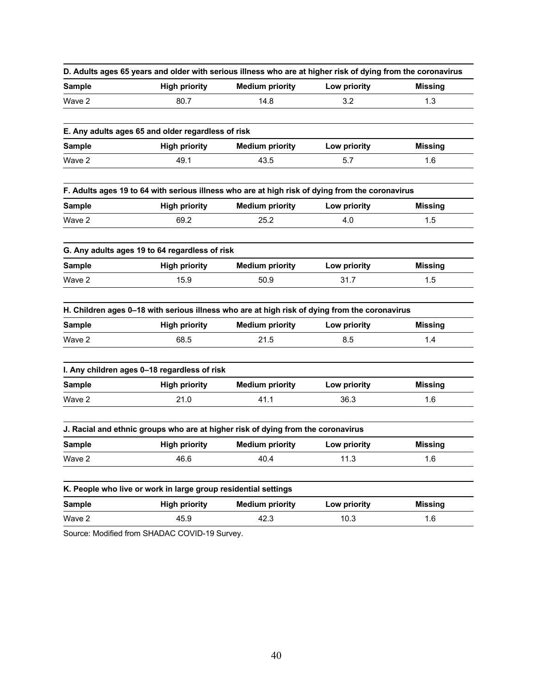|               | D. Adults ages 65 years and older with serious illness who are at higher risk of dying from the coronavirus |                        |              |                |
|---------------|-------------------------------------------------------------------------------------------------------------|------------------------|--------------|----------------|
| <b>Sample</b> | <b>High priority</b>                                                                                        | <b>Medium priority</b> | Low priority | <b>Missing</b> |
| Wave 2        | 80.7                                                                                                        | 14.8                   | 3.2          | 1.3            |
|               | E. Any adults ages 65 and older regardless of risk                                                          |                        |              |                |
| <b>Sample</b> | <b>High priority</b>                                                                                        | <b>Medium priority</b> | Low priority | <b>Missing</b> |
| Wave 2        | 49.1                                                                                                        | 43.5                   | 1.6          |                |
|               | F. Adults ages 19 to 64 with serious illness who are at high risk of dying from the coronavirus             |                        |              |                |
| <b>Sample</b> | <b>High priority</b>                                                                                        | <b>Medium priority</b> | Low priority | <b>Missing</b> |
| Wave 2        | 69.2                                                                                                        | 25.2                   | 4.0          | 1.5            |
|               | G. Any adults ages 19 to 64 regardless of risk                                                              |                        |              |                |
| <b>Sample</b> | <b>High priority</b>                                                                                        | <b>Medium priority</b> | Low priority | <b>Missing</b> |
| Wave 2        | 15.9                                                                                                        | 50.9                   | 31.7         | 1.5            |
|               | H. Children ages 0-18 with serious illness who are at high risk of dying from the coronavirus               |                        |              |                |
| <b>Sample</b> | <b>High priority</b>                                                                                        | <b>Medium priority</b> | Low priority | <b>Missing</b> |
| Wave 2        | 68.5                                                                                                        | 21.5                   | 8.5          | 1.4            |
|               | I. Any children ages 0-18 regardless of risk                                                                |                        |              |                |
| <b>Sample</b> | <b>High priority</b>                                                                                        | <b>Medium priority</b> | Low priority | <b>Missing</b> |
| Wave 2        | 21.0                                                                                                        | 41.1                   | 36.3         | 1.6            |
|               | J. Racial and ethnic groups who are at higher risk of dying from the coronavirus                            |                        |              |                |
| <b>Sample</b> | <b>High priority</b>                                                                                        | <b>Medium priority</b> | Low priority | <b>Missing</b> |
| Wave 2        | 46.6                                                                                                        | 40.4                   | 11.3         | 1.6            |
|               | K. People who live or work in large group residential settings                                              |                        |              |                |
| <b>Sample</b> | <b>High priority</b>                                                                                        | <b>Medium priority</b> | Low priority | <b>Missing</b> |
| Wave 2        | 45.9                                                                                                        | 42.3                   | 10.3         | 1.6            |

Source: Modified from SHADAC COVID-19 Survey.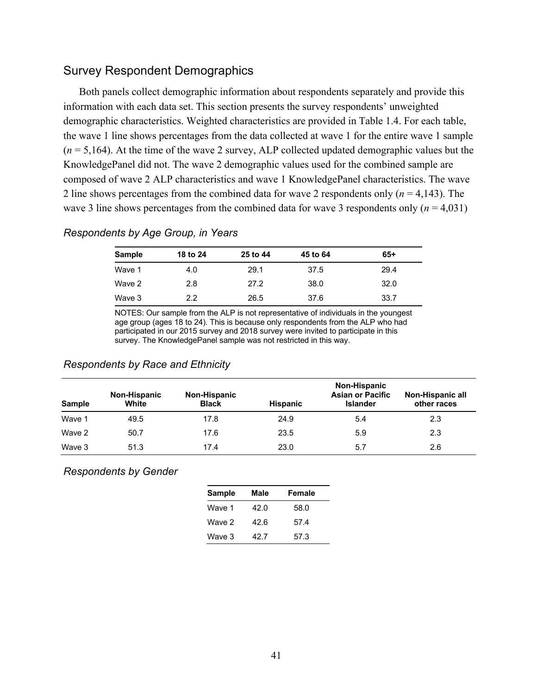# Survey Respondent Demographics

Both panels collect demographic information about respondents separately and provide this information with each data set. This section presents the survey respondents' unweighted demographic characteristics. Weighted characteristics are provided in Table 1.4. For each table, the wave 1 line shows percentages from the data collected at wave 1 for the entire wave 1 sample  $(n = 5.164)$ . At the time of the wave 2 survey, ALP collected updated demographic values but the KnowledgePanel did not. The wave 2 demographic values used for the combined sample are composed of wave 2 ALP characteristics and wave 1 KnowledgePanel characteristics. The wave 2 line shows percentages from the combined data for wave 2 respondents only (*n* = 4,143). The wave 3 line shows percentages from the combined data for wave 3 respondents only  $(n = 4,031)$ 

### *Respondents by Age Group, in Years*

| <b>Sample</b> | 18 to 24 | 25 to 44 | 45 to 64 | $65+$ |
|---------------|----------|----------|----------|-------|
| Wave 1        | 4.0      | 29.1     | 37.5     | 29.4  |
| Wave 2        | 2.8      | 27.2     | 38.0     | 32.0  |
| Wave 3        | 2.2      | 26.5     | 37.6     | 33.7  |

NOTES: Our sample from the ALP is not representative of individuals in the youngest age group (ages 18 to 24). This is because only respondents from the ALP who had participated in our 2015 survey and 2018 survey were invited to participate in this survey. The KnowledgePanel sample was not restricted in this way.

#### **Sample Non-Hispanic White Non-Hispanic Black Hispanic Non-Hispanic Asian or Pacific Islander Non-Hispanic all other races** Wave 1 49.5 17.8 24.9 5.4 2010 12.3 Wave 2 50.7 17.6 23.5 5.9 2.3 Wave 3 51.3 17.4 23.0 5.7 2.6

### *Respondents by Race and Ethnicity*

### *Respondents by Gender*

| <b>Sample</b> | Male | Female |
|---------------|------|--------|
| Wave 1        | 42.0 | 58.0   |
| Wave 2        | 42.6 | 57.4   |
| Wave 3        | 42.7 | 57.3   |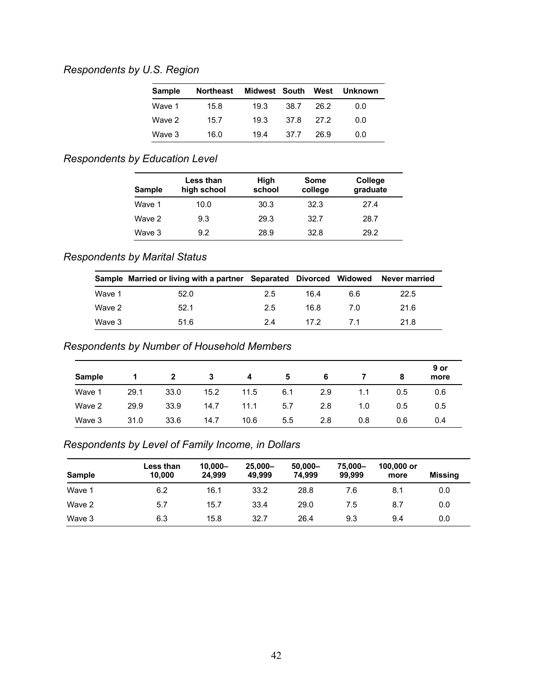# *Respondents by U.S. Region*

| <b>Sample</b> | <b>Northeast</b> | Midwest South |      | West   | Unknown |
|---------------|------------------|---------------|------|--------|---------|
| Wave 1        | 15.8             | 19.3          | 38.7 | 26.2   | 0.0     |
| Wave 2        | 15.7             | 19.3          | 37.8 | - 27 2 | 0.0     |
| Wave 3        | 16.0             | 194           | 37.7 | 26.9   | 0.0     |

# *Respondents by Education Level*

| <b>Sample</b> | Less than<br>high school | High<br>school | Some<br>college | College<br>graduate |
|---------------|--------------------------|----------------|-----------------|---------------------|
| Wave 1        | 10.0                     | 30.3           | 32.3            | 27.4                |
| Wave 2        | 9.3                      | 29.3           | 32.7            | 28.7                |
| Wave 3        | 9.2                      | 28.9           | 32.8            | 29.2                |

# *Respondents by Marital Status*

|        | Sample Married or living with a partner Separated Divorced Widowed |     |      |     | <b>Never married</b> |
|--------|--------------------------------------------------------------------|-----|------|-----|----------------------|
| Wave 1 | 52.0                                                               | 2.5 | 16.4 | 6.6 | 22.5                 |
| Wave 2 | 52.1                                                               | 2.5 | 16.8 | 7 O | 21.6                 |
| Wave 3 | 51.6                                                               | 2.4 | 17.2 | 71  | 21.8                 |

# *Respondents by Number of Household Members*

| <b>Sample</b> |      | $\overline{2}$ | 3    | -4   | 5   | 6   |     | 8   | 9 or<br>more |
|---------------|------|----------------|------|------|-----|-----|-----|-----|--------------|
| Wave 1        | 29.1 | 33.0           | 15.2 | 11.5 | 6.1 | 2.9 | 1.1 | 0.5 | 0.6          |
| Wave 2        | 29.9 | 33.9           | 14.7 | 11.1 | 5.7 | 2.8 | 1.0 | 0.5 | 0.5          |
| Wave 3        | 31.0 | 33.6           | 14.7 | 10.6 | 5.5 | 2.8 | 0.8 | 0.6 | 0.4          |

# *Respondents by Level of Family Income, in Dollars*

| <b>Sample</b> | Less than<br>10.000 | $10.000 -$<br>24.999 | $25.000 -$<br>49.999 | $50,000 -$<br>74.999 | 75.000-<br>99.999 | 100,000 or<br>more | Missing |
|---------------|---------------------|----------------------|----------------------|----------------------|-------------------|--------------------|---------|
| Wave 1        | 6.2                 | 16.1                 | 33.2                 | 28.8                 | 7.6               | 8.1                | 0.0     |
| Wave 2        | 5.7                 | 15.7                 | 33.4                 | 29.0                 | 7.5               | 8.7                | 0.0     |
| Wave 3        | 6.3                 | 15.8                 | 32.7                 | 26.4                 | 9.3               | 9.4                | 0.0     |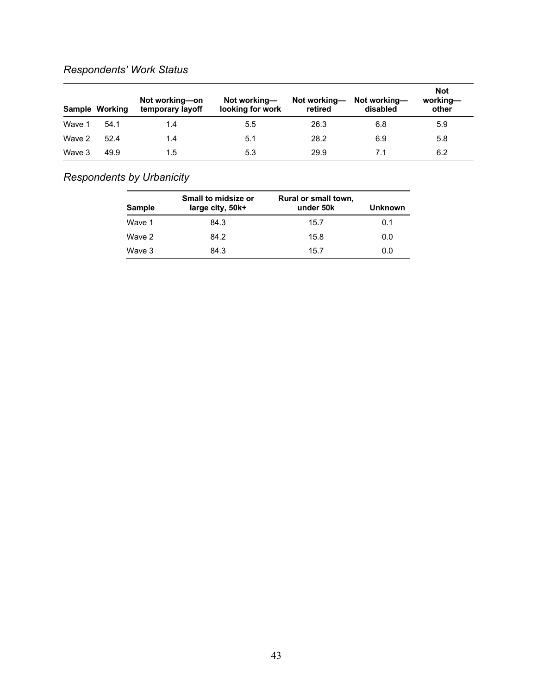# *Respondents' Work Status*

|        | Sample Working | Not working-on<br>temporary layoff | Not working—<br>looking for work | Not working—<br>retired | Not working—<br>disabled | <b>Not</b><br>working-<br>other |
|--------|----------------|------------------------------------|----------------------------------|-------------------------|--------------------------|---------------------------------|
| Wave 1 | 54.1           | 1.4                                | 5.5                              | 26.3                    | 6.8                      | 5.9                             |
| Wave 2 | 52.4           | 1.4                                | 5.1                              | 28.2                    | 6.9                      | 5.8                             |
| Wave 3 | 49.9           | 1.5                                | 5.3                              | 29.9                    | 7.1                      | 6.2                             |

# *Respondents by Urbanicity*

| <b>Sample</b> | Small to midsize or<br>large city, 50k+ | Rural or small town,<br>under 50k | Unknown |
|---------------|-----------------------------------------|-----------------------------------|---------|
| Wave 1        | 84.3                                    | 15.7                              | 0.1     |
| Wave 2        | 84.2                                    | 15.8                              | 0.0     |
| Wave 3        | 84.3                                    | 15.7                              | 0.0     |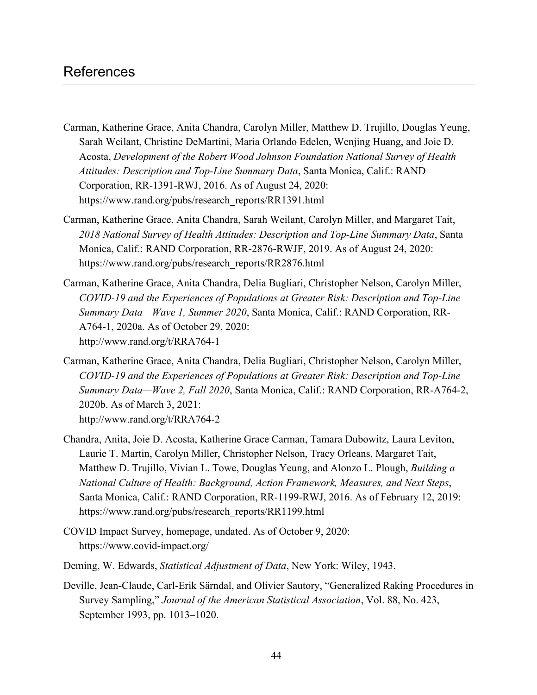# References

- Carman, Katherine Grace, Anita Chandra, Carolyn Miller, Matthew D. Trujillo, Douglas Yeung, Sarah Weilant, Christine DeMartini, Maria Orlando Edelen, Wenjing Huang, and Joie D. Acosta, *Development of the Robert Wood Johnson Foundation National Survey of Health Attitudes: Description and Top-Line Summary Data*, Santa Monica, Calif.: RAND Corporation, RR-1391-RWJ, 2016. As of August 24, 2020: [https://www.rand.org/pubs/research\\_reports/RR1391.html](https://www.rand.org/pubs/research_reports/RR1391.html)
- Carman, Katherine Grace, Anita Chandra, Sarah Weilant, Carolyn Miller, and Margaret Tait, *2018 National Survey of Health Attitudes: Description and Top-Line Summary Data*, Santa Monica, Calif.: RAND Corporation, RR-2876-RWJF, 2019. As of August 24, 2020: [https://www.rand.org/pubs/research\\_reports/RR2876.html](https://www.rand.org/pubs/research_reports/RR2876.html)
- Carman, Katherine Grace, Anita Chandra, Delia Bugliari, Christopher Nelson, Carolyn Miller, *COVID-19 and the Experiences of Populations at Greater Risk: Description and Top-Line Summary Data—Wave 1, Summer 2020*, Santa Monica, Calif.: RAND Corporation, RR-A764-1, 2020a. As of October 29, 2020: <http://www.rand.org/t/RRA764-1>
- Carman, Katherine Grace, Anita Chandra, Delia Bugliari, Christopher Nelson, Carolyn Miller, *COVID-19 and the Experiences of Populations at Greater Risk: Description and Top-Line Summary Data—Wave 2, Fall 2020*, Santa Monica, Calif.: RAND Corporation, RR-A764-2, 2020b. As of March 3, 2021: <http://www.rand.org/t/RRA764-2>
- Chandra, Anita, Joie D. Acosta, Katherine Grace Carman, Tamara Dubowitz, Laura Leviton, Laurie T. Martin, Carolyn Miller, Christopher Nelson, Tracy Orleans, Margaret Tait, Matthew D. Trujillo, Vivian L. Towe, Douglas Yeung, and Alonzo L. Plough, *Building a National Culture of Health: Background, Action Framework, Measures, and Next Steps*, Santa Monica, Calif.: RAND Corporation, RR-1199-RWJ, 2016. As of February 12, 2019: [https://www.rand.org/pubs/research\\_reports/RR1199.html](https://www.rand.org/pubs/research_reports/RR1199.html)
- COVID Impact Survey, homepage, undated. As of October 9, 2020: <https://www.covid-impact.org/>
- Deming, W. Edwards, *Statistical Adjustment of Data*, New York: Wiley, 1943.
- Deville, Jean-Claude, Carl-Erik Särndal, and Olivier Sautory, "Generalized Raking Procedures in Survey Sampling," *Journal of the American Statistical Association*, Vol. 88, No. 423, September 1993, pp. 1013–1020.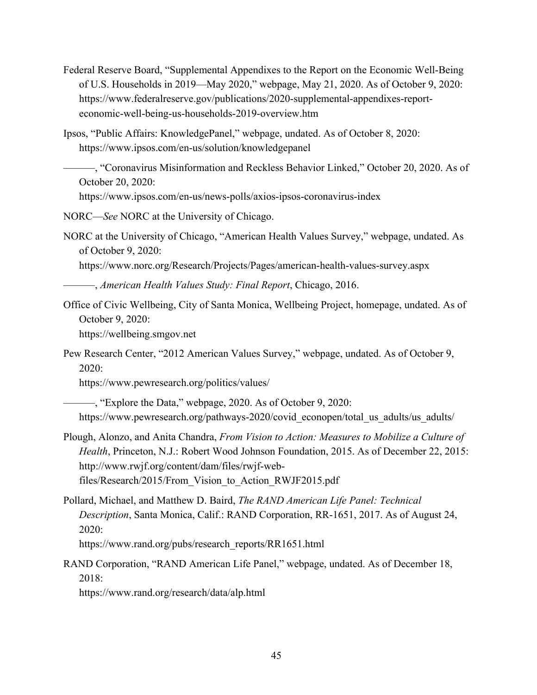- Federal Reserve Board, "Supplemental Appendixes to the Report on the Economic Well-Being of U.S. Households in 2019—May 2020," webpage, May 21, 2020. As of October 9, 2020: [https://www.federalreserve.gov/publications/2020-supplemental-appendixes-report](https://www.federalreserve.gov/publications/2020-supplemental-appendixes-report-economic-well-being-us-households-2019-overview.htm)economic-well-being-us-households-2019-overview.htm
- Ipsos, "Public Affairs: KnowledgePanel," webpage, undated. As of October 8, 2020: <https://www.ipsos.com/en-us/solution/knowledgepanel>
	- ———, "Coronavirus Misinformation and Reckless Behavior Linked," October 20, 2020. As of October 20, 2020:

<https://www.ipsos.com/en-us/news-polls/axios-ipsos-coronavirus-index>

NORC—*See* NORC at the University of Chicago.

NORC at the University of Chicago, "American Health Values Survey," webpage, undated. As of October 9, 2020:

<https://www.norc.org/Research/Projects/Pages/american-health-values-survey.aspx>

———, *American Health Values Study: Final Report*, Chicago, 2016.

- Office of Civic Wellbeing, City of Santa Monica, Wellbeing Project, homepage, undated. As of October 9, 2020: <https://wellbeing.smgov.net>
- Pew Research Center, "2012 American Values Survey," webpage, undated. As of October 9, 2020:

<https://www.pewresearch.org/politics/values/>

———, "Explore the Data," webpage, 2020. As of October 9, 2020: https://www.pewresearch.org/pathways-2020/covid econopen/total us adults/us adults/

- Plough, Alonzo, and Anita Chandra, *From Vision to Action: Measures to Mobilize a Culture of Health*, Princeton, N.J.: Robert Wood Johnson Foundation, 2015. As of December 22, 2015: http://www.rwjf.org/content/dam/files/rwjf-web[files/Research/2015/From\\_Vision\\_to\\_Action\\_RWJF2015.pdf](http://www.rwjf.org/content/dam/files/rwjf-web-files/Research/2015/From_Vision_to_Action_RWJF2015.pdf)
- Pollard, Michael, and Matthew D. Baird, *The RAND American Life Panel: Technical Description*, Santa Monica, Calif.: RAND Corporation, RR-1651, 2017. As of August 24, 2020:

[https://www.rand.org/pubs/research\\_reports/RR1651.html](https://www.rand.org/pubs/research_reports/RR1651.html)

RAND Corporation, "RAND American Life Panel," webpage, undated. As of December 18, 2018:

<https://www.rand.org/research/data/alp.html>